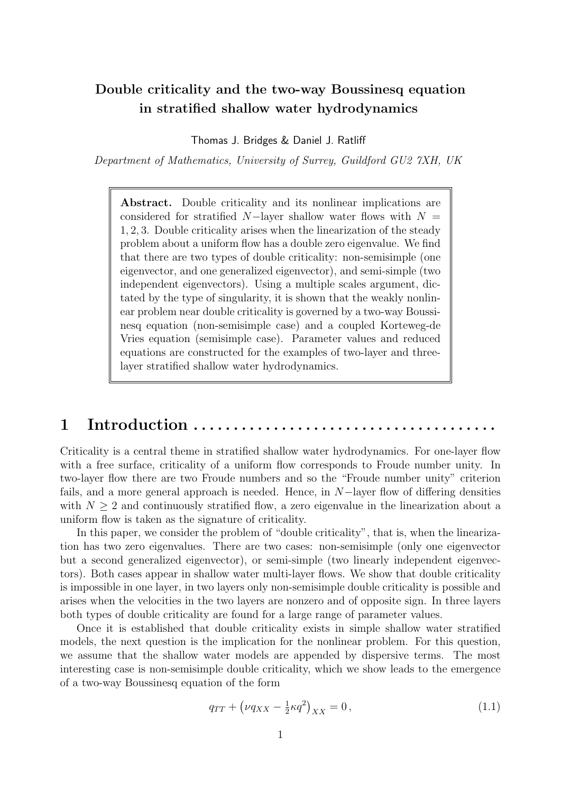## Double criticality and the two-way Boussinesq equation in stratified shallow water hydrodynamics

Thomas J. Bridges & Daniel J. Ratliff

Department of Mathematics, University of Surrey, Guildford GU2 7XH, UK

Abstract. Double criticality and its nonlinear implications are considered for stratified  $N-$ layer shallow water flows with  $N =$ 1, 2, 3. Double criticality arises when the linearization of the steady problem about a uniform flow has a double zero eigenvalue. We find that there are two types of double criticality: non-semisimple (one eigenvector, and one generalized eigenvector), and semi-simple (two independent eigenvectors). Using a multiple scales argument, dictated by the type of singularity, it is shown that the weakly nonlinear problem near double criticality is governed by a two-way Boussinesq equation (non-semisimple case) and a coupled Korteweg-de Vries equation (semisimple case). Parameter values and reduced equations are constructed for the examples of two-layer and threelayer stratified shallow water hydrodynamics.

# 1 Introduction . . . . . . . . . .

Criticality is a central theme in stratified shallow water hydrodynamics. For one-layer flow with a free surface, criticality of a uniform flow corresponds to Froude number unity. In two-layer flow there are two Froude numbers and so the "Froude number unity" criterion fails, and a more general approach is needed. Hence, in N−layer flow of differing densities with  $N \geq 2$  and continuously stratified flow, a zero eigenvalue in the linearization about a uniform flow is taken as the signature of criticality.

In this paper, we consider the problem of "double criticality", that is, when the linearization has two zero eigenvalues. There are two cases: non-semisimple (only one eigenvector but a second generalized eigenvector), or semi-simple (two linearly independent eigenvectors). Both cases appear in shallow water multi-layer flows. We show that double criticality is impossible in one layer, in two layers only non-semisimple double criticality is possible and arises when the velocities in the two layers are nonzero and of opposite sign. In three layers both types of double criticality are found for a large range of parameter values.

Once it is established that double criticality exists in simple shallow water stratified models, the next question is the implication for the nonlinear problem. For this question, we assume that the shallow water models are appended by dispersive terms. The most interesting case is non-semisimple double criticality, which we show leads to the emergence of a two-way Boussinesq equation of the form

<span id="page-0-0"></span>
$$
q_{TT} + (\nu q_{XX} - \frac{1}{2}\kappa q^2)_{XX} = 0, \qquad (1.1)
$$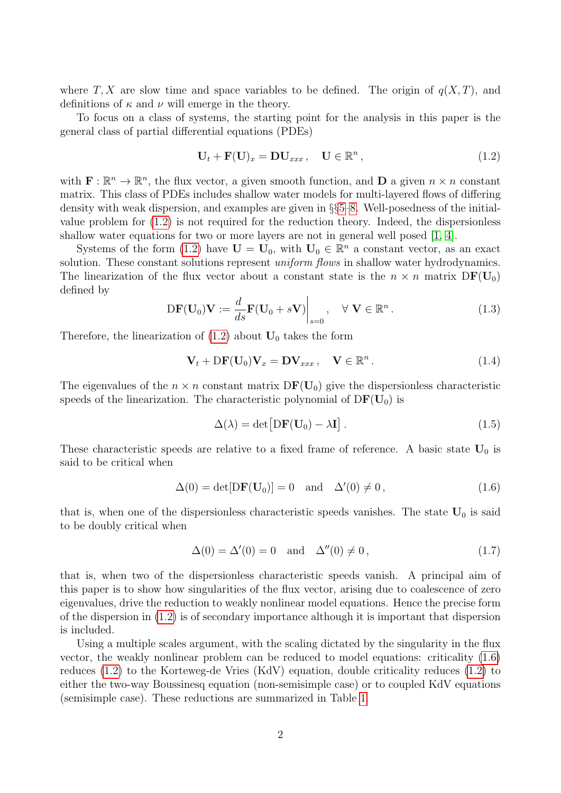where T, X are slow time and space variables to be defined. The origin of  $q(X,T)$ , and definitions of  $\kappa$  and  $\nu$  will emerge in the theory.

To focus on a class of systems, the starting point for the analysis in this paper is the general class of partial differential equations (PDEs)

<span id="page-1-0"></span>
$$
\mathbf{U}_t + \mathbf{F}(\mathbf{U})_x = \mathbf{D}\mathbf{U}_{xxx}, \quad \mathbf{U} \in \mathbb{R}^n, \tag{1.2}
$$

with  $\mathbf{F} : \mathbb{R}^n \to \mathbb{R}^n$ , the flux vector, a given smooth function, and **D** a given  $n \times n$  constant matrix. This class of PDEs includes shallow water models for multi-layered flows of differing density with weak dispersion, and examples are given in §§[5–](#page-8-0)[8.](#page-18-0) Well-posedness of the initialvalue problem for [\(1.2\)](#page-1-0) is not required for the reduction theory. Indeed, the dispersionless shallow water equations for two or more layers are not in general well posed [\[1,](#page-27-0) [4\]](#page-27-1).

Systems of the form [\(1.2\)](#page-1-0) have  $\mathbf{U} = \mathbf{U}_0$ , with  $\mathbf{U}_0 \in \mathbb{R}^n$  a constant vector, as an exact solution. These constant solutions represent *uniform flows* in shallow water hydrodynamics. The linearization of the flux vector about a constant state is the  $n \times n$  matrix  $DF(U_0)$ defined by

$$
\mathrm{D}\mathbf{F}(\mathbf{U}_0)\mathbf{V} := \frac{d}{ds}\mathbf{F}(\mathbf{U}_0 + s\mathbf{V})\Big|_{s=0}, \quad \forall \mathbf{V} \in \mathbb{R}^n.
$$
 (1.3)

Therefore, the linearization of  $(1.2)$  about  $U_0$  takes the form

$$
\mathbf{V}_t + \mathbf{DF}(\mathbf{U}_0)\mathbf{V}_x = \mathbf{DV}_{xxx}, \quad \mathbf{V} \in \mathbb{R}^n. \tag{1.4}
$$

The eigenvalues of the  $n \times n$  constant matrix  $DF(U_0)$  give the dispersionless characteristic speeds of the linearization. The characteristic polynomial of  $DF(U_0)$  is

$$
\Delta(\lambda) = \det[D\mathbf{F}(\mathbf{U}_0) - \lambda \mathbf{I}]. \tag{1.5}
$$

These characteristic speeds are relative to a fixed frame of reference. A basic state  $U_0$  is said to be critical when

<span id="page-1-1"></span>
$$
\Delta(0) = \det[DF(\mathbf{U}_0)] = 0 \text{ and } \Delta'(0) \neq 0, \qquad (1.6)
$$

that is, when one of the dispersionless characteristic speeds vanishes. The state  $U_0$  is said to be doubly critical when

<span id="page-1-2"></span>
$$
\Delta(0) = \Delta'(0) = 0 \quad \text{and} \quad \Delta''(0) \neq 0, \tag{1.7}
$$

that is, when two of the dispersionless characteristic speeds vanish. A principal aim of this paper is to show how singularities of the flux vector, arising due to coalescence of zero eigenvalues, drive the reduction to weakly nonlinear model equations. Hence the precise form of the dispersion in [\(1.2\)](#page-1-0) is of secondary importance although it is important that dispersion is included.

Using a multiple scales argument, with the scaling dictated by the singularity in the flux vector, the weakly nonlinear problem can be reduced to model equations: criticality [\(1.6\)](#page-1-1) reduces [\(1.2\)](#page-1-0) to the Korteweg-de Vries (KdV) equation, double criticality reduces [\(1.2\)](#page-1-0) to either the two-way Boussinesq equation (non-semisimple case) or to coupled KdV equations (semisimple case). These reductions are summarized in Table [1.](#page-2-0)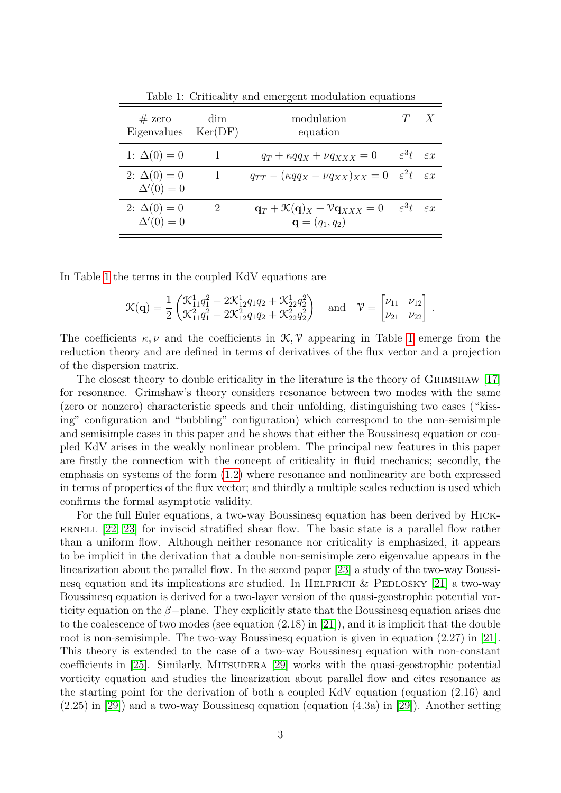| $#$ zero<br>Eigenvalues              | dim<br>Ker(DF) | modulation<br>equation                                                                               |                                   | X |
|--------------------------------------|----------------|------------------------------------------------------------------------------------------------------|-----------------------------------|---|
| 1: $\Delta(0) = 0$                   |                | $q_T + \kappa q q_X + \nu q_{XXX} = 0$                                                               | $\varepsilon^3 t$ $\varepsilon x$ |   |
| 2: $\Delta(0) = 0$<br>$\Delta'(0)=0$ |                | $q_{TT} - (\kappa qq_X - \nu q_{XX})_{XX} = 0 \quad \varepsilon^2 t \quad \varepsilon x$             |                                   |   |
| 2: $\Delta(0) = 0$<br>$\Delta'(0)=0$ | 2              | $\mathbf{q}_T + \mathcal{K}(\mathbf{q})_X + \mathcal{V} \mathbf{q}_{XXX} = 0$<br>${\bf q}=(q_1,q_2)$ | $\varepsilon^3 t$ $\varepsilon x$ |   |

<span id="page-2-0"></span>Table 1: Criticality and emergent modulation equations

In Table [1](#page-2-0) the terms in the coupled KdV equations are

$$
\mathcal{K}(\mathbf{q}) = \frac{1}{2} \begin{pmatrix} \mathcal{K}_{11}^1 q_1^2 + 2\mathcal{K}_{12}^1 q_1 q_2 + \mathcal{K}_{22}^1 q_2^2 \\ \mathcal{K}_{11}^2 q_1^2 + 2\mathcal{K}_{12}^2 q_1 q_2 + \mathcal{K}_{22}^2 q_2^2 \end{pmatrix} \text{ and } \mathcal{V} = \begin{bmatrix} \nu_{11} & \nu_{12} \\ \nu_{21} & \nu_{22} \end{bmatrix}
$$

.

The coefficients  $\kappa, \nu$  and the coefficients in  $\mathcal{K}, \mathcal{V}$  appearing in Table [1](#page-2-0) emerge from the reduction theory and are defined in terms of derivatives of the flux vector and a projection of the dispersion matrix.

The closest theory to double criticality in the literature is the theory of GRIMSHAW [\[17\]](#page-28-0) for resonance. Grimshaw's theory considers resonance between two modes with the same (zero or nonzero) characteristic speeds and their unfolding, distinguishing two cases ("kissing" configuration and "bubbling" configuration) which correspond to the non-semisimple and semisimple cases in this paper and he shows that either the Boussinesq equation or coupled KdV arises in the weakly nonlinear problem. The principal new features in this paper are firstly the connection with the concept of criticality in fluid mechanics; secondly, the emphasis on systems of the form [\(1.2\)](#page-1-0) where resonance and nonlinearity are both expressed in terms of properties of the flux vector; and thirdly a multiple scales reduction is used which confirms the formal asymptotic validity.

For the full Euler equations, a two-way Boussinesq equation has been derived by Hick-ERNELL  $[22, 23]$  $[22, 23]$  for inviscid stratified shear flow. The basic state is a parallel flow rather than a uniform flow. Although neither resonance nor criticality is emphasized, it appears to be implicit in the derivation that a double non-semisimple zero eigenvalue appears in the linearization about the parallel flow. In the second paper [\[23\]](#page-29-1) a study of the two-way Boussinesq equation and its implications are studied. In HELFRICH  $&$  PEDLOSKY [\[21\]](#page-29-2) a two-way Boussinesq equation is derived for a two-layer version of the quasi-geostrophic potential vorticity equation on the  $\beta$ -plane. They explicitly state that the Boussinesq equation arises due to the coalescence of two modes (see equation (2.18) in [\[21\]](#page-29-2)), and it is implicit that the double root is non-semisimple. The two-way Boussinesq equation is given in equation (2.27) in [\[21\]](#page-29-2). This theory is extended to the case of a two-way Boussinesq equation with non-constant coefficients in [\[25\]](#page-29-3). Similarly, MITSUDERA [\[29\]](#page-29-4) works with the quasi-geostrophic potential vorticity equation and studies the linearization about parallel flow and cites resonance as the starting point for the derivation of both a coupled KdV equation (equation (2.16) and (2.25) in [\[29\]](#page-29-4)) and a two-way Boussinesq equation (equation (4.3a) in [\[29\]](#page-29-4)). Another setting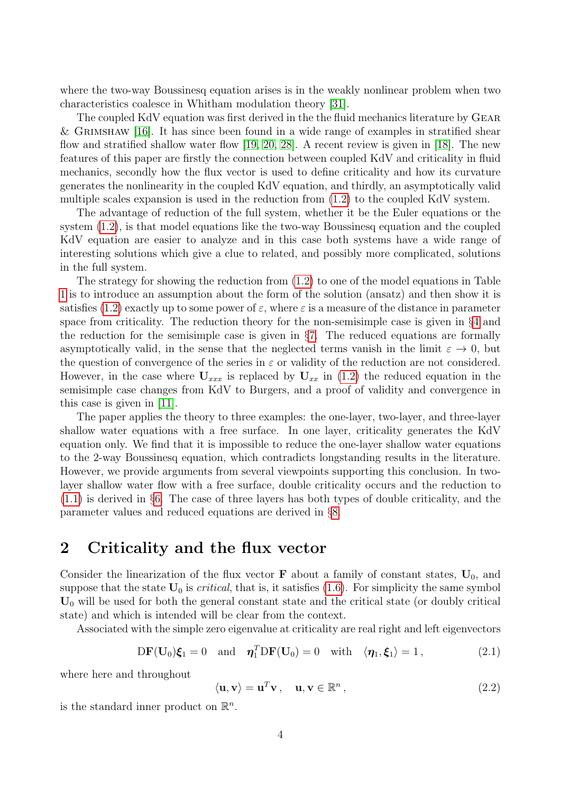where the two-way Boussinesq equation arises is in the weakly nonlinear problem when two characteristics coalesce in Whitham modulation theory [\[31\]](#page-29-5).

The coupled KdV equation was first derived in the the fluid mechanics literature by Gear & GRIMSHAW  $[16]$ . It has since been found in a wide range of examples in stratified shear flow and stratified shallow water flow [\[19,](#page-28-2) [20,](#page-28-3) [28\]](#page-29-6). A recent review is given in [\[18\]](#page-28-4). The new features of this paper are firstly the connection between coupled KdV and criticality in fluid mechanics, secondly how the flux vector is used to define criticality and how its curvature generates the nonlinearity in the coupled KdV equation, and thirdly, an asymptotically valid multiple scales expansion is used in the reduction from [\(1.2\)](#page-1-0) to the coupled KdV system.

The advantage of reduction of the full system, whether it be the Euler equations or the system [\(1.2\)](#page-1-0), is that model equations like the two-way Boussinesq equation and the coupled KdV equation are easier to analyze and in this case both systems have a wide range of interesting solutions which give a clue to related, and possibly more complicated, solutions in the full system.

The strategy for showing the reduction from  $(1.2)$  to one of the model equations in Table [1](#page-2-0) is to introduce an assumption about the form of the solution (ansatz) and then show it is satisfies [\(1.2\)](#page-1-0) exactly up to some power of  $\varepsilon$ , where  $\varepsilon$  is a measure of the distance in parameter space from criticality. The reduction theory for the non-semisimple case is given in §[4](#page-6-0) and the reduction for the semisimple case is given in §[7.](#page-16-0) The reduced equations are formally asymptotically valid, in the sense that the neglected terms vanish in the limit  $\varepsilon \to 0$ , but the question of convergence of the series in  $\varepsilon$  or validity of the reduction are not considered. However, in the case where  $U_{xxx}$  is replaced by  $U_{xx}$  in [\(1.2\)](#page-1-0) the reduced equation in the semisimple case changes from KdV to Burgers, and a proof of validity and convergence in this case is given in [\[11\]](#page-28-5).

The paper applies the theory to three examples: the one-layer, two-layer, and three-layer shallow water equations with a free surface. In one layer, criticality generates the KdV equation only. We find that it is impossible to reduce the one-layer shallow water equations to the 2-way Boussinesq equation, which contradicts longstanding results in the literature. However, we provide arguments from several viewpoints supporting this conclusion. In twolayer shallow water flow with a free surface, double criticality occurs and the reduction to [\(1.1\)](#page-0-0) is derived in §[6.](#page-11-0) The case of three layers has both types of double criticality, and the parameter values and reduced equations are derived in §[8.](#page-18-0)

### <span id="page-3-0"></span>2 Criticality and the flux vector

Consider the linearization of the flux vector  $\bf{F}$  about a family of constant states,  $\bf{U}_0$ , and suppose that the state  $U_0$  is *critical*, that is, it satisfies [\(1.6\)](#page-1-1). For simplicity the same symbol  $U_0$  will be used for both the general constant state and the critical state (or doubly critical state) and which is intended will be clear from the context.

Associated with the simple zero eigenvalue at criticality are real right and left eigenvectors

$$
DF(\mathbf{U}_0)\boldsymbol{\xi}_1 = 0 \text{ and } \boldsymbol{\eta}_1^T DF(\mathbf{U}_0) = 0 \text{ with } \langle \boldsymbol{\eta}_1, \boldsymbol{\xi}_1 \rangle = 1, \tag{2.1}
$$

where here and throughout

$$
\langle \mathbf{u}, \mathbf{v} \rangle = \mathbf{u}^T \mathbf{v}, \quad \mathbf{u}, \mathbf{v} \in \mathbb{R}^n, \tag{2.2}
$$

is the standard inner product on  $\mathbb{R}^n$ .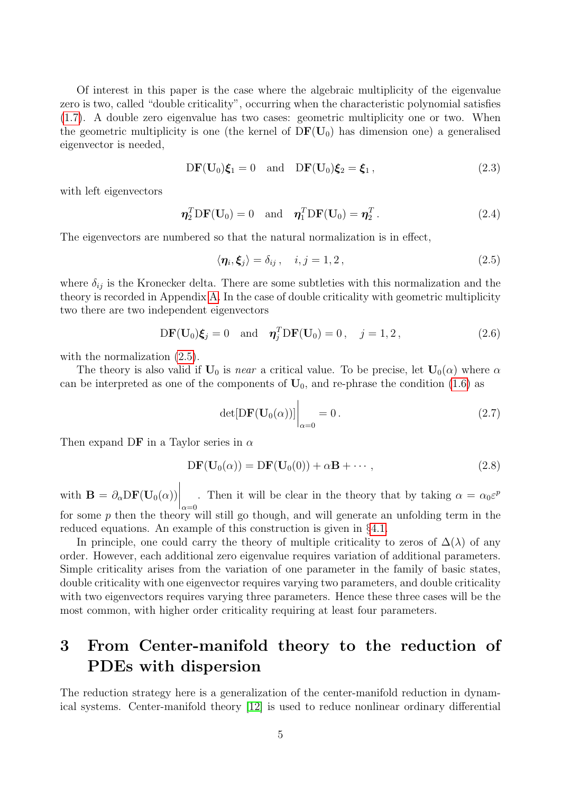Of interest in this paper is the case where the algebraic multiplicity of the eigenvalue zero is two, called "double criticality", occurring when the characteristic polynomial satisfies [\(1.7\)](#page-1-2). A double zero eigenvalue has two cases: geometric multiplicity one or two. When the geometric multiplicity is one (the kernel of  $DF(U_0)$ ) has dimension one) a generalised eigenvector is needed,

<span id="page-4-1"></span>
$$
DF(\mathbf{U}_0)\boldsymbol{\xi}_1 = 0 \quad \text{and} \quad DF(\mathbf{U}_0)\boldsymbol{\xi}_2 = \boldsymbol{\xi}_1, \tag{2.3}
$$

with left eigenvectors

$$
\eta_2^T \mathbf{D} \mathbf{F}(\mathbf{U}_0) = 0 \quad \text{and} \quad \eta_1^T \mathbf{D} \mathbf{F}(\mathbf{U}_0) = \eta_2^T. \tag{2.4}
$$

The eigenvectors are numbered so that the natural normalization is in effect,

<span id="page-4-0"></span>
$$
\langle \eta_i, \xi_j \rangle = \delta_{ij}, \quad i, j = 1, 2, \tag{2.5}
$$

where  $\delta_{ij}$  is the Kronecker delta. There are some subtleties with this normalization and the theory is recorded in Appendix [A.](#page-25-0) In the case of double criticality with geometric multiplicity two there are two independent eigenvectors

$$
DF(\mathbf{U}_0)\boldsymbol{\xi}_j = 0 \quad \text{and} \quad \boldsymbol{\eta}_j^T DF(\mathbf{U}_0) = 0 \,, \quad j = 1, 2 \,, \tag{2.6}
$$

with the normalization  $(2.5)$ .

The theory is also valid if  $U_0$  is near a critical value. To be precise, let  $U_0(\alpha)$  where  $\alpha$ can be interpreted as one of the components of  $U_0$ , and re-phrase the condition [\(1.6\)](#page-1-1) as

$$
\det[DF(\mathbf{U}_0(\alpha))] \bigg|_{\alpha=0} = 0. \tag{2.7}
$$

Then expand DF in a Taylor series in  $\alpha$ 

<span id="page-4-2"></span>
$$
DF(\mathbf{U}_0(\alpha)) = DF(\mathbf{U}_0(0)) + \alpha \mathbf{B} + \cdots,
$$
\n(2.8)

with  $\mathbf{B} = \partial_{\alpha} DF(\mathbf{U}_0(\alpha))$  $\Bigg|_{\alpha=0}$ . Then it will be clear in the theory that by taking  $\alpha = \alpha_0 \varepsilon^p$ for some  $p$  then the theory will still go though, and will generate an unfolding term in the reduced equations. An example of this construction is given in §[4.1.](#page-8-1)

In principle, one could carry the theory of multiple criticality to zeros of  $\Delta(\lambda)$  of any order. However, each additional zero eigenvalue requires variation of additional parameters. Simple criticality arises from the variation of one parameter in the family of basic states, double criticality with one eigenvector requires varying two parameters, and double criticality with two eigenvectors requires varying three parameters. Hence these three cases will be the most common, with higher order criticality requiring at least four parameters.

# 3 From Center-manifold theory to the reduction of PDEs with dispersion

The reduction strategy here is a generalization of the center-manifold reduction in dynamical systems. Center-manifold theory [\[12\]](#page-28-6) is used to reduce nonlinear ordinary differential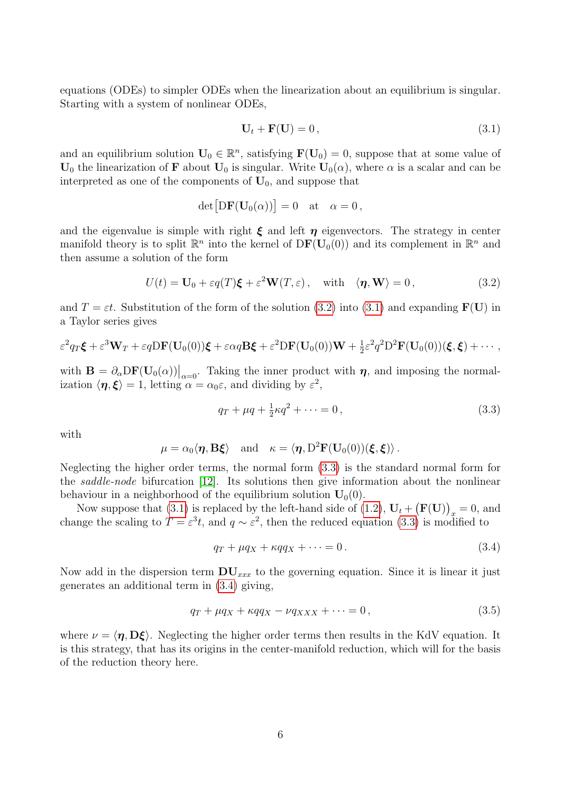equations (ODEs) to simpler ODEs when the linearization about an equilibrium is singular. Starting with a system of nonlinear ODEs,

<span id="page-5-1"></span>
$$
\mathbf{U}_t + \mathbf{F}(\mathbf{U}) = 0, \tag{3.1}
$$

and an equilibrium solution  $U_0 \in \mathbb{R}^n$ , satisfying  $F(U_0) = 0$ , suppose that at some value of  $U_0$  the linearization of **F** about  $U_0$  is singular. Write  $U_0(\alpha)$ , where  $\alpha$  is a scalar and can be interpreted as one of the components of  $U_0$ , and suppose that

$$
\det[D\mathbf{F}(\mathbf{U}_0(\alpha))] = 0 \quad \text{at} \quad \alpha = 0,
$$

and the eigenvalue is simple with right  $\xi$  and left  $\eta$  eigenvectors. The strategy in center manifold theory is to split  $\mathbb{R}^n$  into the kernel of  $DF(\mathbf{U}_0(0))$  and its complement in  $\mathbb{R}^n$  and then assume a solution of the form

<span id="page-5-0"></span>
$$
U(t) = \mathbf{U}_0 + \varepsilon q(T)\boldsymbol{\xi} + \varepsilon^2 \mathbf{W}(T, \varepsilon), \quad \text{with} \quad \langle \boldsymbol{\eta}, \mathbf{W} \rangle = 0, \tag{3.2}
$$

and  $T = \varepsilon t$ . Substitution of the form of the solution [\(3.2\)](#page-5-0) into [\(3.1\)](#page-5-1) and expanding  $\mathbf{F}(\mathbf{U})$  in a Taylor series gives

$$
\varepsilon^2 q_T \boldsymbol{\xi} + \varepsilon^3 \mathbf{W}_T + \varepsilon q \mathbf{D} \mathbf{F}(\mathbf{U}_0(0)) \boldsymbol{\xi} + \varepsilon \alpha q \mathbf{B} \boldsymbol{\xi} + \varepsilon^2 \mathbf{D} \mathbf{F}(\mathbf{U}_0(0)) \mathbf{W} + \frac{1}{2} \varepsilon^2 q^2 \mathbf{D}^2 \mathbf{F}(\mathbf{U}_0(0)) (\boldsymbol{\xi}, \boldsymbol{\xi}) + \cdots,
$$

with  $\mathbf{B} = \partial_{\alpha} \mathbf{D} \mathbf{F}(\mathbf{U}_{0}(\alpha))\big|_{\alpha=0}$ . Taking the inner product with  $\eta$ , and imposing the normalization  $\langle \eta, \xi \rangle = 1$ , letting  $\alpha = \alpha_0 \varepsilon$ , and dividing by  $\varepsilon^2$ ,

<span id="page-5-2"></span>
$$
q_T + \mu q + \frac{1}{2}\kappa q^2 + \dots = 0, \tag{3.3}
$$

with

$$
\mu = \alpha_0 \langle \eta, B\xi \rangle
$$
 and  $\kappa = \langle \eta, D^2 \mathbf{F}(\mathbf{U}_0(0))(\xi, \xi) \rangle$ .

Neglecting the higher order terms, the normal form [\(3.3\)](#page-5-2) is the standard normal form for the saddle-node bifurcation [\[12\]](#page-28-6). Its solutions then give information about the nonlinear behaviour in a neighborhood of the equilibrium solution  $U_0(0)$ .

Now suppose that [\(3.1\)](#page-5-1) is replaced by the left-hand side of [\(1.2\)](#page-1-0),  $U_t + (F(U))_x = 0$ , and change the scaling to  $T = \varepsilon^3 t$ , and  $q \sim \varepsilon^2$ , then the reduced equation [\(3.3\)](#page-5-2) is modified to

<span id="page-5-3"></span>
$$
q_T + \mu q_X + \kappa q q_X + \dots = 0. \tag{3.4}
$$

Now add in the dispersion term  $DU_{xxx}$  to the governing equation. Since it is linear it just generates an additional term in [\(3.4\)](#page-5-3) giving,

$$
q_T + \mu q_X + \kappa q q_X - \nu q_{XXX} + \dots = 0, \qquad (3.5)
$$

where  $\nu = \langle \eta, D\xi \rangle$ . Neglecting the higher order terms then results in the KdV equation. It is this strategy, that has its origins in the center-manifold reduction, which will for the basis of the reduction theory here.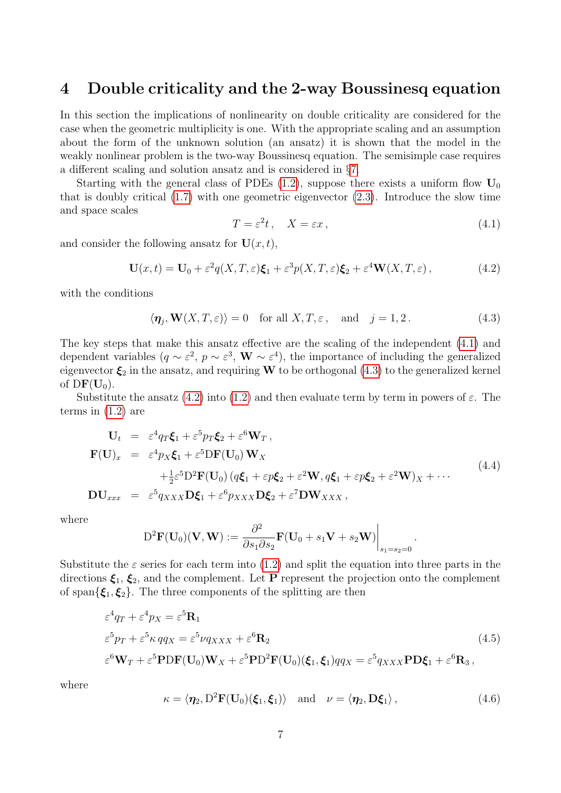## <span id="page-6-0"></span>4 Double criticality and the 2-way Boussinesq equation

In this section the implications of nonlinearity on double criticality are considered for the case when the geometric multiplicity is one. With the appropriate scaling and an assumption about the form of the unknown solution (an ansatz) it is shown that the model in the weakly nonlinear problem is the two-way Boussinesq equation. The semisimple case requires a different scaling and solution ansatz and is considered in §[7.](#page-16-0)

Starting with the general class of PDEs  $(1.2)$ , suppose there exists a uniform flow  $U_0$ that is doubly critical [\(1.7\)](#page-1-2) with one geometric eigenvector [\(2.3\)](#page-4-1). Introduce the slow time and space scales

<span id="page-6-1"></span>
$$
T = \varepsilon^2 t, \quad X = \varepsilon x, \tag{4.1}
$$

.

and consider the following ansatz for  $U(x, t)$ ,

<span id="page-6-3"></span>
$$
\mathbf{U}(x,t) = \mathbf{U}_0 + \varepsilon^2 q(X,T,\varepsilon)\boldsymbol{\xi}_1 + \varepsilon^3 p(X,T,\varepsilon)\boldsymbol{\xi}_2 + \varepsilon^4 \mathbf{W}(X,T,\varepsilon)\,,\tag{4.2}
$$

with the conditions

<span id="page-6-2"></span>
$$
\langle \eta_j, \mathbf{W}(X,T,\varepsilon) \rangle = 0 \quad \text{for all } X,T,\varepsilon \,, \quad \text{and} \quad j = 1,2 \,. \tag{4.3}
$$

The key steps that make this ansatz effective are the scaling of the independent [\(4.1\)](#page-6-1) and dependent variables  $(q \sim \varepsilon^2, p \sim \varepsilon^3, \mathbf{W} \sim \varepsilon^4)$ , the importance of including the generalized eigenvector  $\xi_2$  in the ansatz, and requiring W to be orthogonal [\(4.3\)](#page-6-2) to the generalized kernel of  $DF(U_0)$ .

Substitute the ansatz [\(4.2\)](#page-6-3) into [\(1.2\)](#page-1-0) and then evaluate term by term in powers of  $\varepsilon$ . The terms in [\(1.2\)](#page-1-0) are

<span id="page-6-6"></span>
$$
\mathbf{U}_{t} = \varepsilon^{4} q_{T} \boldsymbol{\xi}_{1} + \varepsilon^{5} p_{T} \boldsymbol{\xi}_{2} + \varepsilon^{6} \mathbf{W}_{T},
$$
\n
$$
\mathbf{F}(\mathbf{U})_{x} = \varepsilon^{4} p_{X} \boldsymbol{\xi}_{1} + \varepsilon^{5} \mathbf{D} \mathbf{F}(\mathbf{U}_{0}) \mathbf{W}_{X}
$$
\n
$$
+ \frac{1}{2} \varepsilon^{5} \mathbf{D}^{2} \mathbf{F}(\mathbf{U}_{0}) (q \boldsymbol{\xi}_{1} + \varepsilon p \boldsymbol{\xi}_{2} + \varepsilon^{2} \mathbf{W}, q \boldsymbol{\xi}_{1} + \varepsilon p \boldsymbol{\xi}_{2} + \varepsilon^{2} \mathbf{W})_{X} + \cdots
$$
\n
$$
\mathbf{D} \mathbf{U}_{xxx} = \varepsilon^{5} q_{XXX} \mathbf{D} \boldsymbol{\xi}_{1} + \varepsilon^{6} p_{XXX} \mathbf{D} \boldsymbol{\xi}_{2} + \varepsilon^{7} \mathbf{D} \mathbf{W}_{XXX},
$$
\n(4.4)

where

$$
D^{2}\mathbf{F}(\mathbf{U}_{0})(\mathbf{V},\mathbf{W}) := \frac{\partial^{2}}{\partial s_{1}\partial s_{2}}\mathbf{F}(\mathbf{U}_{0} + s_{1}\mathbf{V} + s_{2}\mathbf{W})\Big|_{s_{1}=s_{2}=0}
$$

Substitute the  $\varepsilon$  series for each term into [\(1.2\)](#page-1-0) and split the equation into three parts in the directions  $\xi_1, \xi_2$ , and the complement. Let P represent the projection onto the complement of span $\{\xi_1, \xi_2\}$ . The three components of the splitting are then

<span id="page-6-4"></span>
$$
\varepsilon^4 q_T + \varepsilon^4 p_X = \varepsilon^5 \mathbf{R}_1
$$
  
\n
$$
\varepsilon^5 p_T + \varepsilon^5 \kappa q q_X = \varepsilon^5 \nu q_{XXX} + \varepsilon^6 \mathbf{R}_2
$$
  
\n
$$
\varepsilon^6 \mathbf{W}_T + \varepsilon^5 \mathbf{PDF}(\mathbf{U}_0) \mathbf{W}_X + \varepsilon^5 \mathbf{P} \mathbf{D}^2 \mathbf{F}(\mathbf{U}_0) (\boldsymbol{\xi}_1, \boldsymbol{\xi}_1) q q_X = \varepsilon^5 q_{XXX} \mathbf{P} \mathbf{D} \boldsymbol{\xi}_1 + \varepsilon^6 \mathbf{R}_3,
$$
\n(4.5)

where

<span id="page-6-5"></span>
$$
\kappa = \langle \eta_2, D^2 \mathbf{F}(\mathbf{U}_0)(\boldsymbol{\xi}_1, \boldsymbol{\xi}_1) \rangle \text{ and } \nu = \langle \eta_2, \mathbf{D} \boldsymbol{\xi}_1 \rangle,
$$
\n(4.6)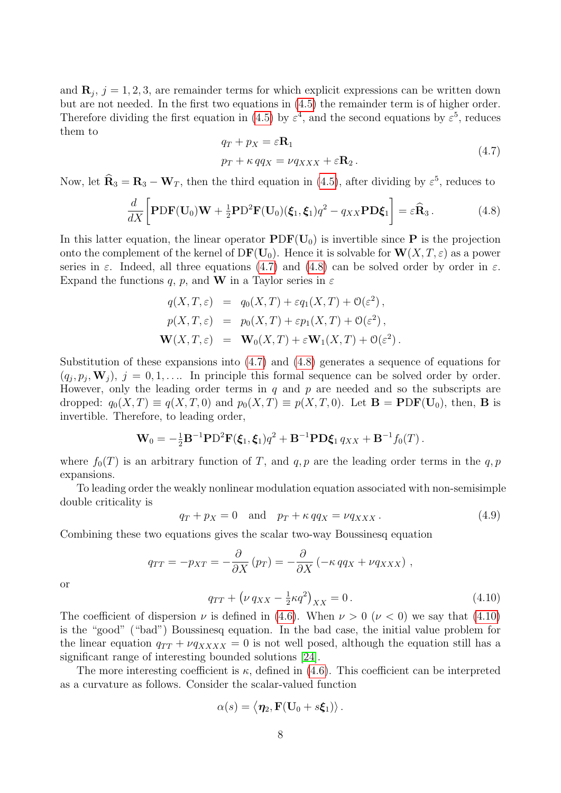and  $\mathbf{R}_j$ ,  $j = 1, 2, 3$ , are remainder terms for which explicit expressions can be written down but are not needed. In the first two equations in [\(4.5\)](#page-6-4) the remainder term is of higher order. Therefore dividing the first equation in [\(4.5\)](#page-6-4) by  $\varepsilon^4$ , and the second equations by  $\varepsilon^5$ , reduces them to

<span id="page-7-0"></span>
$$
q_T + p_X = \varepsilon \mathbf{R}_1
$$
  

$$
p_T + \kappa q q_X = \nu q_{XXX} + \varepsilon \mathbf{R}_2.
$$
 (4.7)

Now, let  $\hat{\mathbf{R}}_3 = \mathbf{R}_3 - \mathbf{W}_T$ , then the third equation in [\(4.5\)](#page-6-4), after dividing by  $\varepsilon^5$ , reduces to

<span id="page-7-1"></span>
$$
\frac{d}{dX}\bigg[\mathbf{PDF}(\mathbf{U}_0)\mathbf{W} + \frac{1}{2}\mathbf{PD}^2\mathbf{F}(\mathbf{U}_0)(\boldsymbol{\xi}_1, \boldsymbol{\xi}_1)q^2 - q_{XX}\mathbf{PD}\boldsymbol{\xi}_1\bigg] = \varepsilon\widehat{\mathbf{R}}_3.
$$
\n(4.8)

In this latter equation, the linear operator  $PDF(U_0)$  is invertible since P is the projection onto the complement of the kernel of  $DF(U_0)$ . Hence it is solvable for  $W(X, T, \varepsilon)$  as a power series in  $\varepsilon$ . Indeed, all three equations [\(4.7\)](#page-7-0) and [\(4.8\)](#page-7-1) can be solved order by order in  $\varepsilon$ . Expand the functions q, p, and W in a Taylor series in  $\varepsilon$ 

$$
q(X, T, \varepsilon) = q_0(X, T) + \varepsilon q_1(X, T) + \mathcal{O}(\varepsilon^2),
$$
  
\n
$$
p(X, T, \varepsilon) = p_0(X, T) + \varepsilon p_1(X, T) + \mathcal{O}(\varepsilon^2),
$$
  
\n
$$
\mathbf{W}(X, T, \varepsilon) = \mathbf{W}_0(X, T) + \varepsilon \mathbf{W}_1(X, T) + \mathcal{O}(\varepsilon^2).
$$

Substitution of these expansions into [\(4.7\)](#page-7-0) and [\(4.8\)](#page-7-1) generates a sequence of equations for  $(q_j, p_j, \mathbf{W}_j)$ ,  $j = 0, 1, \ldots$  In principle this formal sequence can be solved order by order. However, only the leading order terms in  $q$  and  $p$  are needed and so the subscripts are dropped:  $q_0(X,T) \equiv q(X,T,0)$  and  $p_0(X,T) \equiv p(X,T,0)$ . Let  $\mathbf{B} = \mathbf{PDF}(\mathbf{U}_0)$ , then,  $\mathbf{B}$  is invertible. Therefore, to leading order,

$$
\mathbf{W}_0 = -\frac{1}{2} \mathbf{B}^{-1} \mathbf{P} D^2 \mathbf{F}(\xi_1, \xi_1) q^2 + \mathbf{B}^{-1} \mathbf{P} \mathbf{D} \xi_1 q_{XX} + \mathbf{B}^{-1} f_0(T) .
$$

where  $f_0(T)$  is an arbitrary function of T, and q, p are the leading order terms in the q, p expansions.

To leading order the weakly nonlinear modulation equation associated with non-semisimple double criticality is

 $q_T + p_X = 0$  and  $p_T + \kappa q q_X = \nu q_{XXX}$ . (4.9)

Combining these two equations gives the scalar two-way Boussinesq equation

$$
q_{TT} = -p_{XT} = -\frac{\partial}{\partial X} (p_T) = -\frac{\partial}{\partial X} (-\kappa q q_X + \nu q_{XXX}),
$$
  

$$
q_{TT} + (\nu q_{XX} - \frac{1}{2}\kappa q^2)_{XX} = 0.
$$
 (4.10)

or

<span id="page-7-2"></span>
$$
q_{TT} + \left(\nu \, q_{XX} - \frac{1}{2} \kappa q^2\right)_{XX} = 0. \tag{4.10}
$$

The coefficient of dispersion  $\nu$  is defined in [\(4.6\)](#page-6-5). When  $\nu > 0$  ( $\nu < 0$ ) we say that [\(4.10\)](#page-7-2) is the "good" ("bad") Boussinesq equation. In the bad case, the initial value problem for the linear equation  $q_{TT} + \nu q_{XXX} = 0$  is not well posed, although the equation still has a significant range of interesting bounded solutions [\[24\]](#page-29-7).

The more interesting coefficient is  $\kappa$ , defined in [\(4.6\)](#page-6-5). This coefficient can be interpreted as a curvature as follows. Consider the scalar-valued function

$$
\alpha(s) = \langle \eta_2, \mathbf{F}(\mathbf{U}_0 + s\boldsymbol{\xi}_1) \rangle.
$$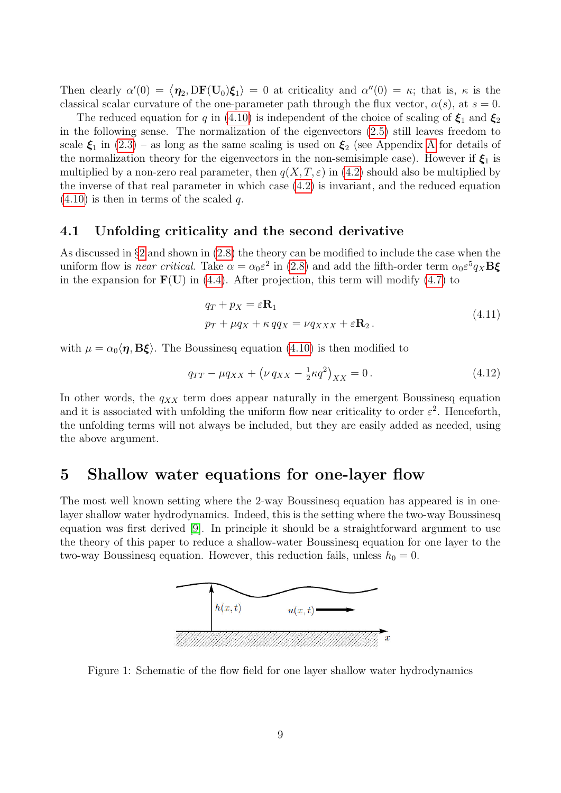Then clearly  $\alpha'(0) = \langle \eta_2, DF(U_0)\xi_1 \rangle = 0$  at criticality and  $\alpha''(0) = \kappa$ ; that is,  $\kappa$  is the classical scalar curvature of the one-parameter path through the flux vector,  $\alpha(s)$ , at  $s = 0$ .

The reduced equation for q in [\(4.10\)](#page-7-2) is independent of the choice of scaling of  $\xi_1$  and  $\xi_2$ in the following sense. The normalization of the eigenvectors [\(2.5\)](#page-4-0) still leaves freedom to scale  $\xi_1$  in  $(2.3)$  – as long as the same scaling is used on  $\xi_2$  (see [A](#page-25-0)ppendix A for details of the normalization theory for the eigenvectors in the non-semisimple case). However if  $\xi_1$  is multiplied by a non-zero real parameter, then  $q(X, T, \varepsilon)$  in [\(4.2\)](#page-6-3) should also be multiplied by the inverse of that real parameter in which case [\(4.2\)](#page-6-3) is invariant, and the reduced equation  $(4.10)$  is then in terms of the scaled q.

### <span id="page-8-1"></span>4.1 Unfolding criticality and the second derivative

As discussed in §[2](#page-3-0) and shown in [\(2.8\)](#page-4-2) the theory can be modified to include the case when the uniform flow is *near critical*. Take  $\alpha = \alpha_0 \varepsilon^2$  in [\(2.8\)](#page-4-2) and add the fifth-order term  $\alpha_0 \varepsilon^5 q_X \mathbf{B} \xi$ in the expansion for  $F(U)$  in [\(4.4\)](#page-6-6). After projection, this term will modify [\(4.7\)](#page-7-0) to

$$
q_T + p_X = \varepsilon \mathbf{R}_1
$$
  

$$
p_T + \mu q_X + \kappa q q_X = \nu q_{XXX} + \varepsilon \mathbf{R}_2.
$$
 (4.11)

with  $\mu = \alpha_0 \langle \eta, B \xi \rangle$ . The Boussinesq equation [\(4.10\)](#page-7-2) is then modified to

$$
q_{TT} - \mu q_{XX} + \left(\nu q_{XX} - \frac{1}{2}\kappa q^2\right)_{XX} = 0.
$$
 (4.12)

In other words, the  $q_{XX}$  term does appear naturally in the emergent Boussinesq equation and it is associated with unfolding the uniform flow near criticality to order  $\varepsilon^2$ . Henceforth, the unfolding terms will not always be included, but they are easily added as needed, using the above argument.

### <span id="page-8-0"></span>5 Shallow water equations for one-layer flow

The most well known setting where the 2-way Boussinesq equation has appeared is in onelayer shallow water hydrodynamics. Indeed, this is the setting where the two-way Boussinesq equation was first derived [\[9\]](#page-28-7). In principle it should be a straightforward argument to use the theory of this paper to reduce a shallow-water Boussinesq equation for one layer to the two-way Boussinesq equation. However, this reduction fails, unless  $h_0 = 0$ .



<span id="page-8-2"></span>Figure 1: Schematic of the flow field for one layer shallow water hydrodynamics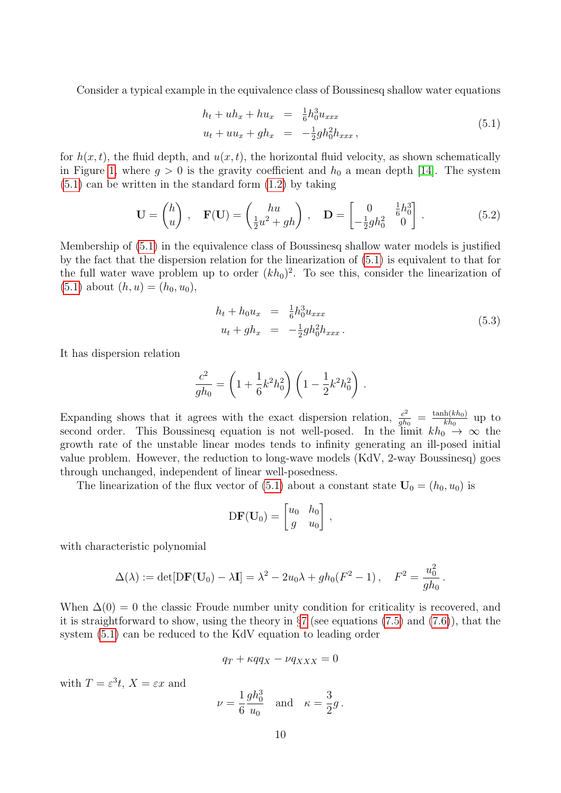Consider a typical example in the equivalence class of Boussinesq shallow water equations

<span id="page-9-0"></span>
$$
h_t + uh_x + hu_x = \frac{1}{6}h_0^3 u_{xxx}
$$
  

$$
u_t + uu_x + gh_x = -\frac{1}{2}gh_0^2 h_{xxx},
$$
\n(5.1)

for  $h(x, t)$ , the fluid depth, and  $u(x, t)$ , the horizontal fluid velocity, as shown schematically in Figure [1,](#page-8-2) where  $g > 0$  is the gravity coefficient and  $h_0$  a mean depth [\[14\]](#page-28-8). The system [\(5.1\)](#page-9-0) can be written in the standard form [\(1.2\)](#page-1-0) by taking

$$
\mathbf{U} = \begin{pmatrix} h \\ u \end{pmatrix}, \quad \mathbf{F}(\mathbf{U}) = \begin{pmatrix} hu \\ \frac{1}{2}u^2 + gh \end{pmatrix}, \quad \mathbf{D} = \begin{bmatrix} 0 & \frac{1}{6}h_0^3 \\ -\frac{1}{2}gh_0^2 & 0 \end{bmatrix}.
$$
 (5.2)

Membership of [\(5.1\)](#page-9-0) in the equivalence class of Boussinesq shallow water models is justified by the fact that the dispersion relation for the linearization of [\(5.1\)](#page-9-0) is equivalent to that for the full water wave problem up to order  $(kh_0)^2$ . To see this, consider the linearization of  $(5.1)$  about  $(h, u) = (h_0, u_0)$ ,

$$
h_t + h_0 u_x = \frac{1}{6} h_0^3 u_{xxx}
$$
  

$$
u_t + gh_x = -\frac{1}{2} gh_0^2 h_{xxx}.
$$
 (5.3)

It has dispersion relation

$$
\frac{c^2}{gh_0} = \left(1 + \frac{1}{6}k^2h_0^2\right)\left(1 - \frac{1}{2}k^2h_0^2\right).
$$

Expanding shows that it agrees with the exact dispersion relation,  $\frac{c^2}{ab}$  $\frac{c^2}{gh_0} = \frac{\tanh(kh_0)}{kh_0}$  $\frac{\ln(\kappa n_0)}{kh_0}$  up to second order. This Boussinesq equation is not well-posed. In the limit  $kh_0 \rightarrow \infty$  the growth rate of the unstable linear modes tends to infinity generating an ill-posed initial value problem. However, the reduction to long-wave models (KdV, 2-way Boussinesq) goes through unchanged, independent of linear well-posedness.

The linearization of the flux vector of [\(5.1\)](#page-9-0) about a constant state  $U_0 = (h_0, u_0)$  is

$$
DF(\mathbf{U}_0) = \begin{bmatrix} u_0 & h_0 \\ g & u_0 \end{bmatrix},
$$

with characteristic polynomial

$$
\Delta(\lambda) := \det[\mathbf{DF}(\mathbf{U}_0) - \lambda \mathbf{I}] = \lambda^2 - 2u_0 \lambda + gh_0(F^2 - 1), \quad F^2 = \frac{u_0^2}{gh_0}.
$$

When  $\Delta(0) = 0$  the classic Froude number unity condition for criticality is recovered, and it is straightforward to show, using the theory in  $\S7$  $\S7$  (see equations [\(7.5\)](#page-17-0) and [\(7.6\)](#page-17-1)), that the system [\(5.1\)](#page-9-0) can be reduced to the KdV equation to leading order

$$
q_T + \kappa q q_X - \nu q_{XXX} = 0
$$

with  $T = \varepsilon^3 t$ ,  $X = \varepsilon x$  and

$$
\nu = \frac{1}{6} \frac{gh_0^3}{u_0}
$$
 and  $\kappa = \frac{3}{2}g$ .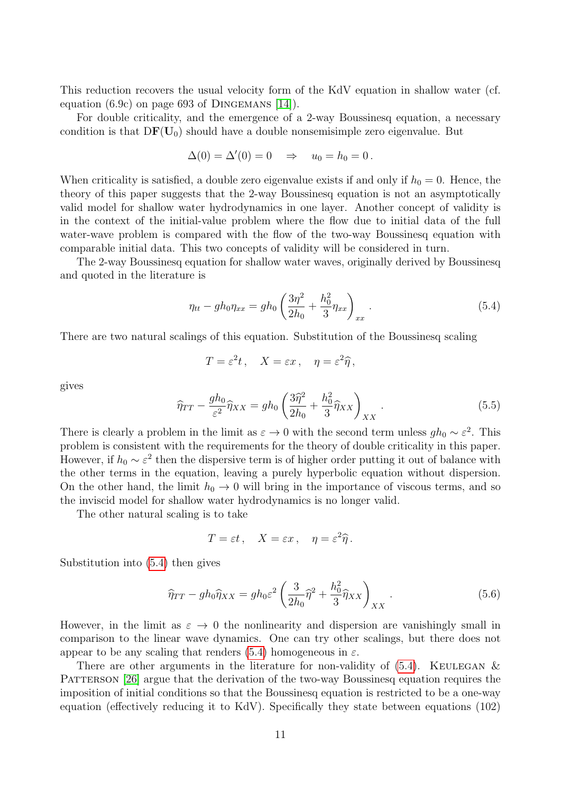This reduction recovers the usual velocity form of the KdV equation in shallow water (cf. equation  $(6.9c)$  on page 693 of DINGEMANS [\[14\]](#page-28-8)).

For double criticality, and the emergence of a 2-way Boussinesq equation, a necessary condition is that  $DF(U_0)$  should have a double nonsemisimple zero eigenvalue. But

$$
\Delta(0) = \Delta'(0) = 0 \quad \Rightarrow \quad u_0 = h_0 = 0.
$$

When criticality is satisfied, a double zero eigenvalue exists if and only if  $h_0 = 0$ . Hence, the theory of this paper suggests that the 2-way Boussinesq equation is not an asymptotically valid model for shallow water hydrodynamics in one layer. Another concept of validity is in the context of the initial-value problem where the flow due to initial data of the full water-wave problem is compared with the flow of the two-way Boussinesq equation with comparable initial data. This two concepts of validity will be considered in turn.

The 2-way Boussinesq equation for shallow water waves, originally derived by Boussinesq and quoted in the literature is

<span id="page-10-0"></span>
$$
\eta_{tt} - gh_0 \eta_{xx} = gh_0 \left(\frac{3\eta^2}{2h_0} + \frac{h_0^2}{3} \eta_{xx}\right)_{xx}.
$$
\n(5.4)

There are two natural scalings of this equation. Substitution of the Boussinesq scaling

$$
T = \varepsilon^2 t \,, \quad X = \varepsilon x \,, \quad \eta = \varepsilon^2 \widehat{\eta} \,,
$$

gives

$$
\widehat{\eta}_{TT} - \frac{gh_0}{\varepsilon^2} \widehat{\eta}_{XX} = gh_0 \left( \frac{3\widehat{\eta}^2}{2h_0} + \frac{h_0^2}{3} \widehat{\eta}_{XX} \right)_{XX} . \tag{5.5}
$$

There is clearly a problem in the limit as  $\varepsilon \to 0$  with the second term unless  $gh_0 \sim \varepsilon^2$ . This problem is consistent with the requirements for the theory of double criticality in this paper. However, if  $h_0 \sim \varepsilon^2$  then the dispersive term is of higher order putting it out of balance with the other terms in the equation, leaving a purely hyperbolic equation without dispersion. On the other hand, the limit  $h_0 \rightarrow 0$  will bring in the importance of viscous terms, and so the inviscid model for shallow water hydrodynamics is no longer valid.

The other natural scaling is to take

$$
T = \varepsilon t
$$
,  $X = \varepsilon x$ ,  $\eta = \varepsilon^2 \hat{\eta}$ .

Substitution into [\(5.4\)](#page-10-0) then gives

$$
\widehat{\eta}_{TT} - gh_0 \widehat{\eta}_{XX} = gh_0 \varepsilon^2 \left( \frac{3}{2h_0} \widehat{\eta}^2 + \frac{h_0^2}{3} \widehat{\eta}_{XX} \right)_{XX} . \tag{5.6}
$$

However, in the limit as  $\varepsilon \to 0$  the nonlinearity and dispersion are vanishingly small in comparison to the linear wave dynamics. One can try other scalings, but there does not appear to be any scaling that renders  $(5.4)$  homogeneous in  $\varepsilon$ .

There are other arguments in the literature for non-validity of  $(5.4)$ . KEULEGAN & PATTERSON [\[26\]](#page-29-8) argue that the derivation of the two-way Boussinesq equation requires the imposition of initial conditions so that the Boussinesq equation is restricted to be a one-way equation (effectively reducing it to KdV). Specifically they state between equations (102)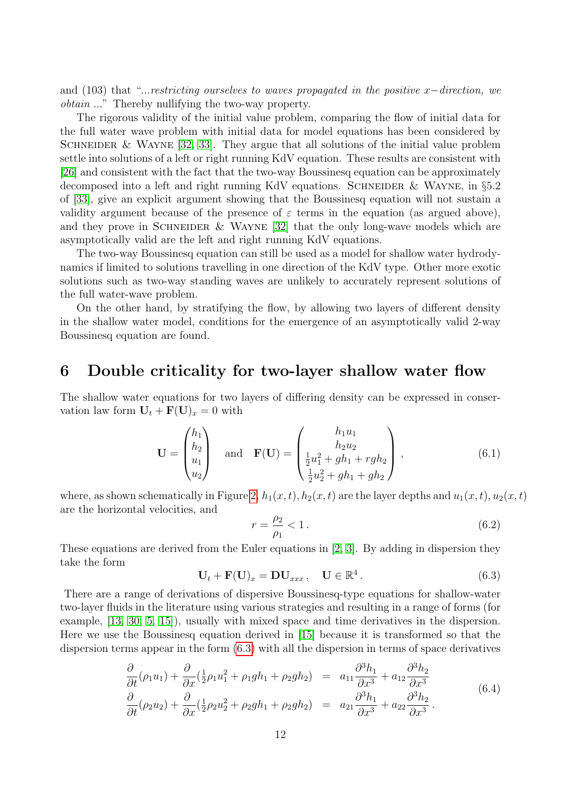and (103) that "...restricting ourselves to waves propagated in the positive x–direction, we obtain ..." Thereby nullifying the two-way property.

The rigorous validity of the initial value problem, comparing the flow of initial data for the full water wave problem with initial data for model equations has been considered by SCHNEIDER & WAYNE  $[32, 33]$  $[32, 33]$ . They argue that all solutions of the initial value problem settle into solutions of a left or right running KdV equation. These results are consistent with [\[26\]](#page-29-8) and consistent with the fact that the two-way Boussinesq equation can be approximately decomposed into a left and right running KdV equations. SCHNEIDER  $&$  WAYNE, in §5.2 of [\[33\]](#page-29-10), give an explicit argument showing that the Boussinesq equation will not sustain a validity argument because of the presence of  $\varepsilon$  terms in the equation (as argued above), and they prove in SCHNEIDER & WAYNE [\[32\]](#page-29-9) that the only long-wave models which are asymptotically valid are the left and right running KdV equations.

The two-way Boussinesq equation can still be used as a model for shallow water hydrodynamics if limited to solutions travelling in one direction of the KdV type. Other more exotic solutions such as two-way standing waves are unlikely to accurately represent solutions of the full water-wave problem.

On the other hand, by stratifying the flow, by allowing two layers of different density in the shallow water model, conditions for the emergence of an asymptotically valid 2-way Boussinesq equation are found.

## <span id="page-11-0"></span>6 Double criticality for two-layer shallow water flow

The shallow water equations for two layers of differing density can be expressed in conservation law form  $U_t + F(U)_x = 0$  with

$$
\mathbf{U} = \begin{pmatrix} h_1 \\ h_2 \\ u_1 \\ u_2 \end{pmatrix} \text{ and } \mathbf{F}(\mathbf{U}) = \begin{pmatrix} h_1 u_1 \\ h_2 u_2 \\ \frac{1}{2} u_1^2 + g h_1 + r g h_2 \\ \frac{1}{2} u_2^2 + g h_1 + g h_2 \end{pmatrix},
$$
(6.1)

where, as shown schematically in Figure [2,](#page-12-0)  $h_1(x, t)$ ,  $h_2(x, t)$  are the layer depths and  $u_1(x, t)$ ,  $u_2(x, t)$ are the horizontal velocities, and

$$
r = \frac{\rho_2}{\rho_1} < 1. \tag{6.2}
$$

These equations are derived from the Euler equations in [\[2,](#page-27-2) [3\]](#page-27-3). By adding in dispersion they take the form

<span id="page-11-1"></span>
$$
\mathbf{U}_t + \mathbf{F}(\mathbf{U})_x = \mathbf{D}\mathbf{U}_{xxx}, \quad \mathbf{U} \in \mathbb{R}^4. \tag{6.3}
$$

There are a range of derivations of dispersive Boussinesq-type equations for shallow-water two-layer fluids in the literature using various strategies and resulting in a range of forms (for example, [\[13,](#page-28-9) [30,](#page-29-11) [5,](#page-27-4) [15\]](#page-28-10)), usually with mixed space and time derivatives in the dispersion. Here we use the Boussinesq equation derived in [\[15\]](#page-28-10) because it is transformed so that the dispersion terms appear in the form [\(6.3\)](#page-11-1) with all the dispersion in terms of space derivatives

<span id="page-11-2"></span>
$$
\frac{\partial}{\partial t}(\rho_1 u_1) + \frac{\partial}{\partial x}(\frac{1}{2}\rho_1 u_1^2 + \rho_1 g h_1 + \rho_2 g h_2) = a_{11} \frac{\partial^3 h_1}{\partial x^3} + a_{12} \frac{\partial^3 h_2}{\partial x^3}
$$
\n
$$
\frac{\partial}{\partial t}(\rho_2 u_2) + \frac{\partial}{\partial x}(\frac{1}{2}\rho_2 u_2^2 + \rho_2 g h_1 + \rho_2 g h_2) = a_{21} \frac{\partial^3 h_1}{\partial x^3} + a_{22} \frac{\partial^3 h_2}{\partial x^3}.
$$
\n(6.4)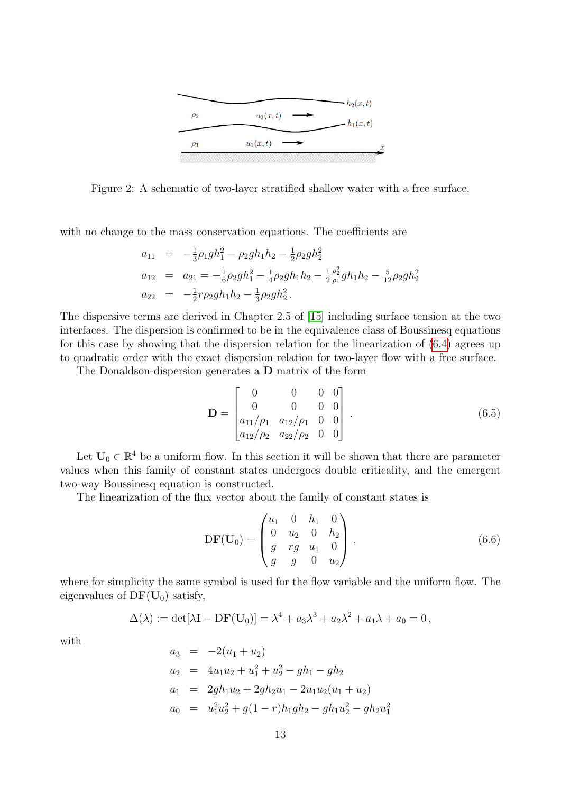

<span id="page-12-0"></span>Figure 2: A schematic of two-layer stratified shallow water with a free surface.

with no change to the mass conservation equations. The coefficients are

$$
a_{11} = -\frac{1}{3}\rho_1 gh_1^2 - \rho_2 gh_1 h_2 - \frac{1}{2}\rho_2 gh_2^2
$$
  
\n
$$
a_{12} = a_{21} = -\frac{1}{6}\rho_2 gh_1^2 - \frac{1}{4}\rho_2 gh_1 h_2 - \frac{1}{2}\frac{\rho_2^2}{\rho_1}gh_1 h_2 - \frac{5}{12}\rho_2 gh_2^2
$$
  
\n
$$
a_{22} = -\frac{1}{2}r\rho_2 gh_1 h_2 - \frac{1}{3}\rho_2 gh_2^2.
$$

The dispersive terms are derived in Chapter 2.5 of [\[15\]](#page-28-10) including surface tension at the two interfaces. The dispersion is confirmed to be in the equivalence class of Boussinesq equations for this case by showing that the dispersion relation for the linearization of [\(6.4\)](#page-11-2) agrees up to quadratic order with the exact dispersion relation for two-layer flow with a free surface.

The Donaldson-dispersion generates a D matrix of the form

<span id="page-12-2"></span>
$$
\mathbf{D} = \begin{bmatrix} 0 & 0 & 0 & 0 \\ 0 & 0 & 0 & 0 \\ a_{11}/\rho_1 & a_{12}/\rho_1 & 0 & 0 \\ a_{12}/\rho_2 & a_{22}/\rho_2 & 0 & 0 \end{bmatrix} . \tag{6.5}
$$

Let  $U_0 \in \mathbb{R}^4$  be a uniform flow. In this section it will be shown that there are parameter values when this family of constant states undergoes double criticality, and the emergent two-way Boussinesq equation is constructed.

The linearization of the flux vector about the family of constant states is

<span id="page-12-1"></span>
$$
DF(\mathbf{U}_0) = \begin{pmatrix} u_1 & 0 & h_1 & 0 \\ 0 & u_2 & 0 & h_2 \\ g & rg & u_1 & 0 \\ g & g & 0 & u_2 \end{pmatrix},
$$
(6.6)

where for simplicity the same symbol is used for the flow variable and the uniform flow. The eigenvalues of  $DF(U_0)$  satisfy,

$$
\Delta(\lambda) := \det[\lambda \mathbf{I} - \mathrm{D}\mathbf{F}(\mathbf{U}_0)] = \lambda^4 + a_3 \lambda^3 + a_2 \lambda^2 + a_1 \lambda + a_0 = 0,
$$

with

$$
a_3 = -2(u_1 + u_2)
$$
  
\n
$$
a_2 = 4u_1u_2 + u_1^2 + u_2^2 - gh_1 - gh_2
$$
  
\n
$$
a_1 = 2gh_1u_2 + 2gh_2u_1 - 2u_1u_2(u_1 + u_2)
$$
  
\n
$$
a_0 = u_1^2u_2^2 + g(1 - r)h_1gh_2 - gh_1u_2^2 - gh_2u_1^2
$$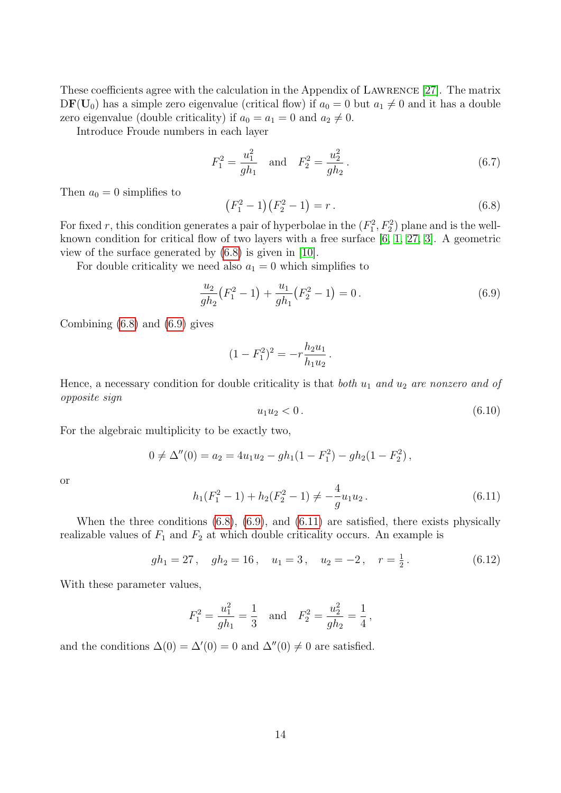These coefficients agree with the calculation in the Appendix of Lawrence [\[27\]](#page-29-12). The matrix  $DF(U_0)$  has a simple zero eigenvalue (critical flow) if  $a_0 = 0$  but  $a_1 \neq 0$  and it has a double zero eigenvalue (double criticality) if  $a_0 = a_1 = 0$  and  $a_2 \neq 0$ .

Introduce Froude numbers in each layer

$$
F_1^2 = \frac{u_1^2}{gh_1} \quad \text{and} \quad F_2^2 = \frac{u_2^2}{gh_2} \,. \tag{6.7}
$$

Then  $a_0 = 0$  simplifies to

<span id="page-13-0"></span>
$$
(F_1^2 - 1)(F_2^2 - 1) = r.
$$
\n(6.8)

For fixed r, this condition generates a pair of hyperbolae in the  $(F_1^2, F_2^2)$  plane and is the wellknown condition for critical flow of two layers with a free surface  $[6, 1, 27, 3]$  $[6, 1, 27, 3]$  $[6, 1, 27, 3]$  $[6, 1, 27, 3]$ . A geometric view of the surface generated by [\(6.8\)](#page-13-0) is given in [\[10\]](#page-28-12).

For double criticality we need also  $a_1 = 0$  which simplifies to

<span id="page-13-1"></span>
$$
\frac{u_2}{gh_2}(F_1^2 - 1) + \frac{u_1}{gh_1}(F_2^2 - 1) = 0.
$$
\n(6.9)

Combining [\(6.8\)](#page-13-0) and [\(6.9\)](#page-13-1) gives

$$
(1 - F_1^2)^2 = -r \frac{h_2 u_1}{h_1 u_2}.
$$

Hence, a necessary condition for double criticality is that both  $u_1$  and  $u_2$  are nonzero and of opposite sign

$$
u_1 u_2 < 0. \t\t(6.10)
$$

For the algebraic multiplicity to be exactly two,

$$
0 \neq \Delta''(0) = a_2 = 4u_1u_2 - gh_1(1 - F_1^2) - gh_2(1 - F_2^2),
$$

or

<span id="page-13-2"></span>
$$
h_1(F_1^2 - 1) + h_2(F_2^2 - 1) \neq -\frac{4}{g}u_1u_2.
$$
\n(6.11)

When the three conditions  $(6.8)$ ,  $(6.9)$ , and  $(6.11)$  are satisfied, there exists physically realizable values of  $F_1$  and  $F_2$  at which double criticality occurs. An example is

<span id="page-13-3"></span>
$$
gh_1 = 27
$$
,  $gh_2 = 16$ ,  $u_1 = 3$ ,  $u_2 = -2$ ,  $r = \frac{1}{2}$ . (6.12)

With these parameter values,

$$
F_1^2 = \frac{u_1^2}{gh_1} = \frac{1}{3}
$$
 and  $F_2^2 = \frac{u_2^2}{gh_2} = \frac{1}{4}$ ,

and the conditions  $\Delta(0) = \Delta'(0) = 0$  and  $\Delta''(0) \neq 0$  are satisfied.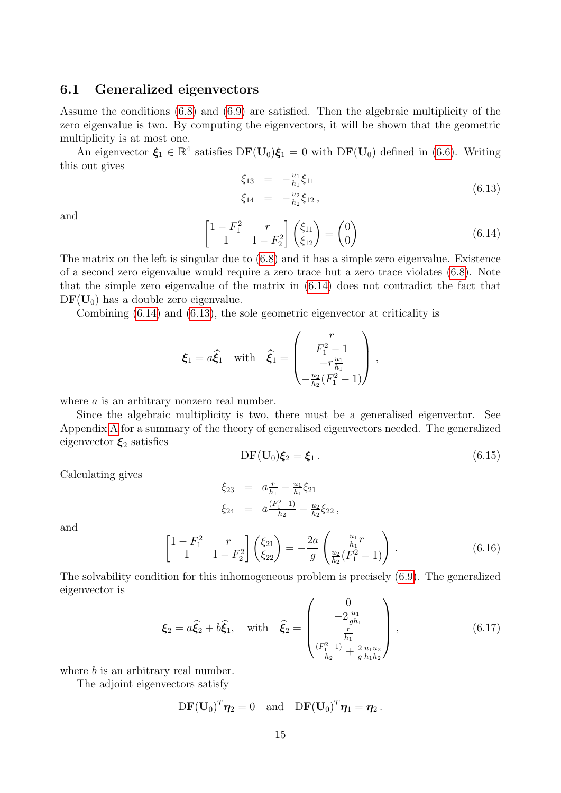### 6.1 Generalized eigenvectors

Assume the conditions [\(6.8\)](#page-13-0) and [\(6.9\)](#page-13-1) are satisfied. Then the algebraic multiplicity of the zero eigenvalue is two. By computing the eigenvectors, it will be shown that the geometric multiplicity is at most one.

An eigenvector  $\xi_1 \in \mathbb{R}^4$  satisfies  $DF(\mathbf{U}_0)\xi_1 = 0$  with  $DF(\mathbf{U}_0)$  defined in [\(6.6\)](#page-12-1). Writing this out gives

<span id="page-14-1"></span>
$$
\xi_{13} = -\frac{u_1}{h_1}\xi_{11}
$$
\n
$$
\xi_{14} = -\frac{u_2}{h_2}\xi_{12},
$$
\n(6.13)

and

<span id="page-14-0"></span>
$$
\begin{bmatrix} 1 - F_1^2 & r \\ 1 & 1 - F_2^2 \end{bmatrix} \begin{pmatrix} \xi_{11} \\ \xi_{12} \end{pmatrix} = \begin{pmatrix} 0 \\ 0 \end{pmatrix} \tag{6.14}
$$

The matrix on the left is singular due to [\(6.8\)](#page-13-0) and it has a simple zero eigenvalue. Existence of a second zero eigenvalue would require a zero trace but a zero trace violates [\(6.8\)](#page-13-0). Note that the simple zero eigenvalue of the matrix in [\(6.14\)](#page-14-0) does not contradict the fact that  $DF(U_0)$  has a double zero eigenvalue.

Combining [\(6.14\)](#page-14-0) and [\(6.13\)](#page-14-1), the sole geometric eigenvector at criticality is

$$
\boldsymbol{\xi}_1 = a\widehat{\boldsymbol{\xi}}_1 \quad \text{with} \quad \widehat{\boldsymbol{\xi}}_1 = \begin{pmatrix} r \\ F_1^2 - 1 \\ -r \frac{u_1}{h_1} \\ -\frac{u_2}{h_2}(F_1^2 - 1) \end{pmatrix} ,
$$

where *a* is an arbitrary nonzero real number.

Since the algebraic multiplicity is two, there must be a generalised eigenvector. See Appendix [A](#page-25-0) for a summary of the theory of generalised eigenvectors needed. The generalized eigenvector  $\xi_2$  satisfies

<span id="page-14-2"></span>
$$
DF(\mathbf{U}_0)\boldsymbol{\xi}_2 = \boldsymbol{\xi}_1. \tag{6.15}
$$

Calculating gives

$$
\xi_{23} = a \frac{r}{h_1} - \frac{u_1}{h_1} \xi_{21}
$$
  

$$
\xi_{24} = a \frac{(F_1^2 - 1)}{h_2} - \frac{u_2}{h_2} \xi_{22},
$$

and

$$
\begin{bmatrix} 1 - F_1^2 & r \\ 1 & 1 - F_2^2 \end{bmatrix} \begin{pmatrix} \xi_{21} \\ \xi_{22} \end{pmatrix} = -\frac{2a}{g} \begin{pmatrix} \frac{u_1}{h_1}r \\ \frac{u_2}{h_2}(F_1^2 - 1) \end{pmatrix} . \tag{6.16}
$$

The solvability condition for this inhomogeneous problem is precisely [\(6.9\)](#page-13-1). The generalized eigenvector is

$$
\boldsymbol{\xi}_2 = a\widehat{\boldsymbol{\xi}}_2 + b\widehat{\boldsymbol{\xi}}_1, \quad \text{with} \quad \widehat{\boldsymbol{\xi}}_2 = \begin{pmatrix} 0\\ -2\frac{u_1}{gh_1} \\ \frac{r}{h_1} \\ \frac{(F_1^2 - 1)}{h_2} + \frac{2}{g}\frac{u_1 u_2}{h_1 h_2} \end{pmatrix}, \tag{6.17}
$$

where *b* is an arbitrary real number.

The adjoint eigenvectors satisfy

$$
\mathrm{D}\mathbf{F}(\mathbf{U}_0)^T\boldsymbol{\eta}_2=0\quad\text{and}\quad\mathrm{D}\mathbf{F}(\mathbf{U}_0)^T\boldsymbol{\eta}_1=\boldsymbol{\eta}_2\,.
$$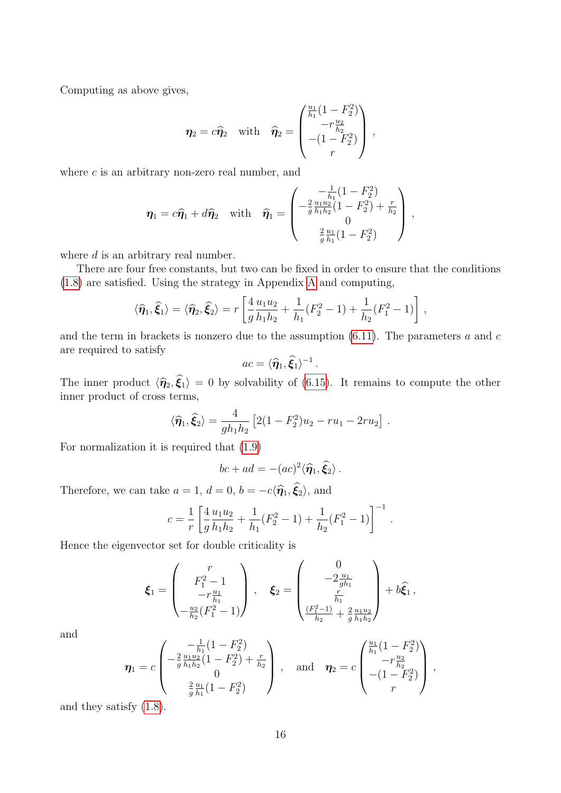Computing as above gives,

$$
\eta_2 = c\hat{\eta}_2 \quad \text{with} \quad \hat{\eta}_2 = \begin{pmatrix} \frac{u_1}{h_1}(1 - F_2^2) \\ -r\frac{u_2}{h_2} \\ -(1 - F_2^2) \\ r \end{pmatrix} ,
$$

where  $c$  is an arbitrary non-zero real number, and

$$
\eta_1 = c\hat{\eta}_1 + d\hat{\eta}_2 \quad \text{with} \quad \hat{\eta}_1 = \begin{pmatrix} -\frac{1}{h_1}(1 - F_2^2) \\ -\frac{2}{g}\frac{u_1 u_2}{h_1 h_2}(1 - F_2^2) + \frac{r}{h_2} \\ 0 \\ \frac{2}{g}\frac{u_1}{h_1}(1 - F_2^2) \end{pmatrix},
$$

where  $d$  is an arbitrary real number.

There are four free constants, but two can be fixed in order to ensure that the conditions [\(1.8\)](#page-26-0) are satisfied. Using the strategy in Appendix [A](#page-25-0) and computing,

$$
\langle \widehat{\eta}_1, \widehat{\xi}_1 \rangle = \langle \widehat{\eta}_2, \widehat{\xi}_2 \rangle = r \left[ \frac{4}{g} \frac{u_1 u_2}{h_1 h_2} + \frac{1}{h_1} (F_2^2 - 1) + \frac{1}{h_2} (F_1^2 - 1) \right],
$$

and the term in brackets is nonzero due to the assumption  $(6.11)$ . The parameters a and c are required to satisfy

$$
ac = \langle \hat{\eta}_1, \hat{\xi}_1 \rangle^{-1}.
$$

The inner product  $\langle \hat{\eta}_2, \xi_1 \rangle = 0$  by solvability of [\(6.15\)](#page-14-2). It remains to compute the other inner product of cross terms,

$$
\langle \hat{\eta}_1, \hat{\xi}_2 \rangle = \frac{4}{gh_1h_2} \left[ 2(1 - F_2^2)u_2 - ru_1 - 2ru_2 \right].
$$

For normalization it is required that [\(1.9\)](#page-27-5)

$$
bc + ad = -(ac)^2 \langle \hat{\eta}_1, \hat{\xi}_2 \rangle.
$$

Therefore, we can take  $a = 1$ ,  $d = 0$ ,  $b = -c\langle \hat{\eta}_1, \hat{\xi}_2 \rangle$ , and

$$
c = \frac{1}{r} \left[ \frac{4}{g} \frac{u_1 u_2}{h_1 h_2} + \frac{1}{h_1} (F_2^2 - 1) + \frac{1}{h_2} (F_1^2 - 1) \right]^{-1}.
$$

Hence the eigenvector set for double criticality is

$$
\pmb{\xi}_1 = \begin{pmatrix} r \\ F_1^2 - 1 \\ -r \frac{u_1}{h_1} \\ -\frac{u_2}{h_2} (F_1^2 - 1) \end{pmatrix} , \quad \pmb{\xi}_2 = \begin{pmatrix} 0 \\ -2 \frac{u_1}{gh_1} \\ \frac{r}{h_1} \\ \frac{(F_1^2 - 1)}{h_2} + \frac{2}{g} \frac{u_1 u_2}{h_1 h_2} \end{pmatrix} + b \hat{\pmb{\xi}}_1 \,,
$$

and

$$
\boldsymbol{\eta}_1 = c \begin{pmatrix} -\frac{1}{h_1}(1 - F_2^2) \\ -\frac{2}{g} \frac{u_1 u_2}{h_1 h_2}(1 - F_2^2) + \frac{r}{h_2} \\ 0 \\ \frac{2}{g} \frac{u_1}{h_1}(1 - F_2^2) \end{pmatrix}, \text{ and } \boldsymbol{\eta}_2 = c \begin{pmatrix} \frac{u_1}{h_1}(1 - F_2^2) \\ -r\frac{u_2}{h_2} \\ -(1 - F_2^2) \\ r \end{pmatrix},
$$

and they satisfy [\(1.8\)](#page-26-0).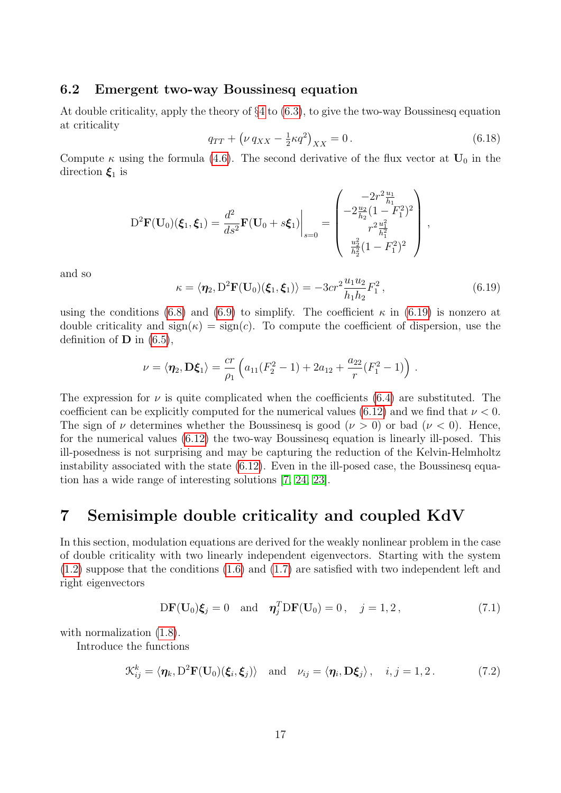### 6.2 Emergent two-way Boussinesq equation

At double criticality, apply the theory of §[4](#page-6-0) to [\(6.3\)](#page-11-1), to give the two-way Boussinesq equation at criticality

$$
q_{TT} + \left(\nu \, q_{XX} - \frac{1}{2}\kappa q^2\right)_{XX} = 0\,. \tag{6.18}
$$

Compute  $\kappa$  using the formula [\(4.6\)](#page-6-5). The second derivative of the flux vector at  $U_0$  in the direction  $\xi_1$  is

$$
D^{2}\mathbf{F}(\mathbf{U}_{0})(\boldsymbol{\xi}_{1},\boldsymbol{\xi}_{1}) = \frac{d^{2}}{ds^{2}}\mathbf{F}(\mathbf{U}_{0} + s\boldsymbol{\xi}_{1})\Big|_{s=0} = \begin{pmatrix} -2r^{2}\frac{u_{1}}{h_{1}}\\ -2\frac{u_{2}}{h_{2}}(1-F_{1}^{2})^{2}\\ r^{2}\frac{u_{1}^{2}}{h_{2}^{2}}(1-F_{1}^{2})^{2} \end{pmatrix},
$$

and so

<span id="page-16-1"></span>
$$
\kappa = \langle \eta_2, D^2 \mathbf{F}(\mathbf{U}_0)(\xi_1, \xi_1) \rangle = -3cr^2 \frac{u_1 u_2}{h_1 h_2} F_1^2, \qquad (6.19)
$$

using the conditions [\(6.8\)](#page-13-0) and [\(6.9\)](#page-13-1) to simplify. The coefficient  $\kappa$  in [\(6.19\)](#page-16-1) is nonzero at double criticality and  $sign(\kappa) = sign(c)$ . To compute the coefficient of dispersion, use the definition of  $\bf{D}$  in [\(6.5\)](#page-12-2),

$$
\nu = \langle \eta_2, D\xi_1 \rangle = \frac{cr}{\rho_1} \left( a_{11}(F_2^2 - 1) + 2a_{12} + \frac{a_{22}}{r} (F_1^2 - 1) \right) .
$$

The expression for  $\nu$  is quite complicated when the coefficients [\(6.4\)](#page-11-2) are substituted. The coefficient can be explicitly computed for the numerical values [\(6.12\)](#page-13-3) and we find that  $\nu < 0$ . The sign of  $\nu$  determines whether the Boussinesq is good  $(\nu > 0)$  or bad  $(\nu < 0)$ . Hence, for the numerical values [\(6.12\)](#page-13-3) the two-way Boussinesq equation is linearly ill-posed. This ill-posedness is not surprising and may be capturing the reduction of the Kelvin-Helmholtz instability associated with the state [\(6.12\)](#page-13-3). Even in the ill-posed case, the Boussinesq equation has a wide range of interesting solutions [\[7,](#page-28-13) [24,](#page-29-7) [23\]](#page-29-1).

## <span id="page-16-0"></span>7 Semisimple double criticality and coupled KdV

In this section, modulation equations are derived for the weakly nonlinear problem in the case of double criticality with two linearly independent eigenvectors. Starting with the system [\(1.2\)](#page-1-0) suppose that the conditions [\(1.6\)](#page-1-1) and [\(1.7\)](#page-1-2) are satisfied with two independent left and right eigenvectors

$$
\mathbf{DF}(\mathbf{U}_0)\boldsymbol{\xi}_j = 0 \quad \text{and} \quad \boldsymbol{\eta}_j^T \mathbf{DF}(\mathbf{U}_0) = 0 \,, \quad j = 1, 2 \,, \tag{7.1}
$$

with normalization  $(1.8)$ .

Introduce the functions

<span id="page-16-2"></span>
$$
\mathcal{K}_{ij}^k = \langle \eta_k, D^2 \mathbf{F}(\mathbf{U}_0)(\boldsymbol{\xi}_i, \boldsymbol{\xi}_j) \rangle \quad \text{and} \quad \nu_{ij} = \langle \eta_i, \mathbf{D}\boldsymbol{\xi}_j \rangle, \quad i, j = 1, 2. \tag{7.2}
$$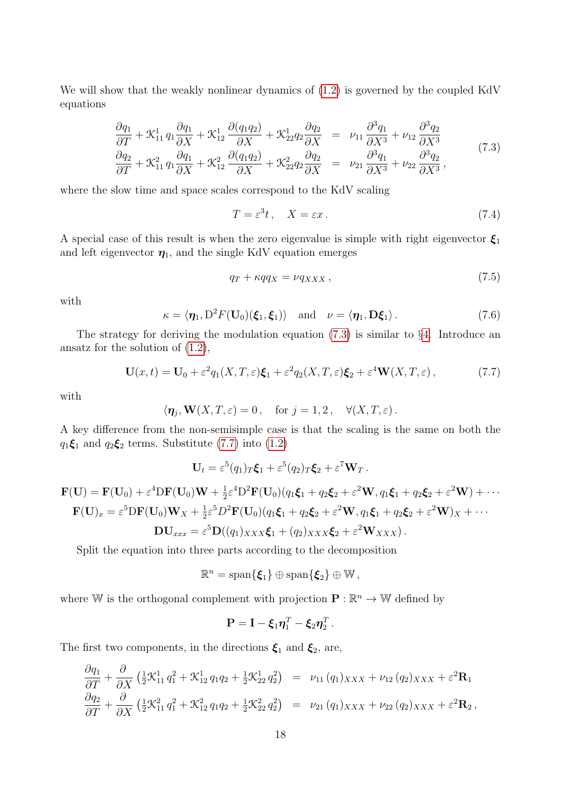We will show that the weakly nonlinear dynamics of  $(1.2)$  is governed by the coupled KdV equations

<span id="page-17-2"></span>
$$
\frac{\partial q_1}{\partial T} + \mathcal{K}_{11}^1 q_1 \frac{\partial q_1}{\partial X} + \mathcal{K}_{12}^1 \frac{\partial (q_1 q_2)}{\partial X} + \mathcal{K}_{22}^1 q_2 \frac{\partial q_2}{\partial X} = \nu_{11} \frac{\partial^3 q_1}{\partial X^3} + \nu_{12} \frac{\partial^3 q_2}{\partial X^3}
$$
\n
$$
\frac{\partial q_2}{\partial T} + \mathcal{K}_{11}^2 q_1 \frac{\partial q_1}{\partial X} + \mathcal{K}_{12}^2 \frac{\partial (q_1 q_2)}{\partial X} + \mathcal{K}_{22}^2 q_2 \frac{\partial q_2}{\partial X} = \nu_{21} \frac{\partial^3 q_1}{\partial X^3} + \nu_{22} \frac{\partial^3 q_2}{\partial X^3},
$$
\n(7.3)

where the slow time and space scales correspond to the KdV scaling

$$
T = \varepsilon^3 t, \quad X = \varepsilon x. \tag{7.4}
$$

A special case of this result is when the zero eigenvalue is simple with right eigenvector  $\xi_1$ and left eigenvector  $\eta_1$ , and the single KdV equation emerges

<span id="page-17-0"></span>
$$
q_T + \kappa q q_X = \nu q_{XXX} \,, \tag{7.5}
$$

with

<span id="page-17-1"></span> $\kappa = \langle \eta_1, D^2 F(\mathbf{U}_0)(\boldsymbol{\xi}_1, \boldsymbol{\xi}_1) \rangle \text{ and } \nu = \langle \eta_1, \mathbf{D}\boldsymbol{\xi}_1 \rangle.$  (7.6)

The strategy for deriving the modulation equation  $(7.3)$  is similar to §[4.](#page-6-0) Introduce an ansatz for the solution of [\(1.2\)](#page-1-0),

<span id="page-17-3"></span>
$$
\mathbf{U}(x,t) = \mathbf{U}_0 + \varepsilon^2 q_1(X,T,\varepsilon)\boldsymbol{\xi}_1 + \varepsilon^2 q_2(X,T,\varepsilon)\boldsymbol{\xi}_2 + \varepsilon^4 \mathbf{W}(X,T,\varepsilon),\tag{7.7}
$$

with

$$
\langle \eta_j, \mathbf{W}(X,T,\varepsilon) = 0
$$
, for  $j = 1,2$ ,  $\forall (X,T,\varepsilon)$ .

A key difference from the non-semisimple case is that the scaling is the same on both the  $q_1 \xi_1$  and  $q_2 \xi_2$  terms. Substitute [\(7.7\)](#page-17-3) into [\(1.2\)](#page-1-0)

$$
\mathbf{U}_t = \varepsilon^5(q_1)_T \boldsymbol{\xi}_1 + \varepsilon^5(q_2)_T \boldsymbol{\xi}_2 + \varepsilon^7 \mathbf{W}_T.
$$

$$
\mathbf{F}(\mathbf{U}) = \mathbf{F}(\mathbf{U}_0) + \varepsilon^4 \mathbf{D} \mathbf{F}(\mathbf{U}_0) \mathbf{W} + \frac{1}{2} \varepsilon^4 \mathbf{D}^2 \mathbf{F}(\mathbf{U}_0) (q_1 \boldsymbol{\xi}_1 + q_2 \boldsymbol{\xi}_2 + \varepsilon^2 \mathbf{W}, q_1 \boldsymbol{\xi}_1 + q_2 \boldsymbol{\xi}_2 + \varepsilon^2 \mathbf{W}) + \cdots
$$
  
\n
$$
\mathbf{F}(\mathbf{U})_x = \varepsilon^5 \mathbf{D} \mathbf{F}(\mathbf{U}_0) \mathbf{W}_x + \frac{1}{2} \varepsilon^5 D^2 \mathbf{F}(\mathbf{U}_0) (q_1 \boldsymbol{\xi}_1 + q_2 \boldsymbol{\xi}_2 + \varepsilon^2 \mathbf{W}, q_1 \boldsymbol{\xi}_1 + q_2 \boldsymbol{\xi}_2 + \varepsilon^2 \mathbf{W})_x + \cdots
$$
  
\n
$$
\mathbf{D} \mathbf{U}_{xxx} = \varepsilon^5 \mathbf{D}((q_1)_{XXX} \boldsymbol{\xi}_1 + (q_2)_{XXX} \boldsymbol{\xi}_2 + \varepsilon^2 \mathbf{W}_{XXX}).
$$

Split the equation into three parts according to the decomposition

$$
\mathbb{R}^n = \mathrm{span}\{\xi_1\} \oplus \mathrm{span}\{\xi_2\} \oplus \mathbb{W},
$$

where W is the orthogonal complement with projection  $\mathbf{P} : \mathbb{R}^n \to \mathbb{W}$  defined by

$$
\mathbf{P} = \mathbf{I} - \boldsymbol{\xi}_1 \boldsymbol{\eta}_1^T - \boldsymbol{\xi}_2 \boldsymbol{\eta}_2^T.
$$

The first two components, in the directions  $\xi_1$  and  $\xi_2$ , are,

$$
\frac{\partial q_1}{\partial T} + \frac{\partial}{\partial X} \left( \frac{1}{2} \mathcal{K}_{11}^1 q_1^2 + \mathcal{K}_{12}^1 q_1 q_2 + \frac{1}{2} \mathcal{K}_{22}^1 q_2^2 \right) = \nu_{11} (q_1)_{XXX} + \nu_{12} (q_2)_{XXX} + \varepsilon^2 \mathbf{R}_1 \n\frac{\partial q_2}{\partial T} + \frac{\partial}{\partial X} \left( \frac{1}{2} \mathcal{K}_{11}^2 q_1^2 + \mathcal{K}_{12}^2 q_1 q_2 + \frac{1}{2} \mathcal{K}_{22}^2 q_2^2 \right) = \nu_{21} (q_1)_{XXX} + \nu_{22} (q_2)_{XXX} + \varepsilon^2 \mathbf{R}_2,
$$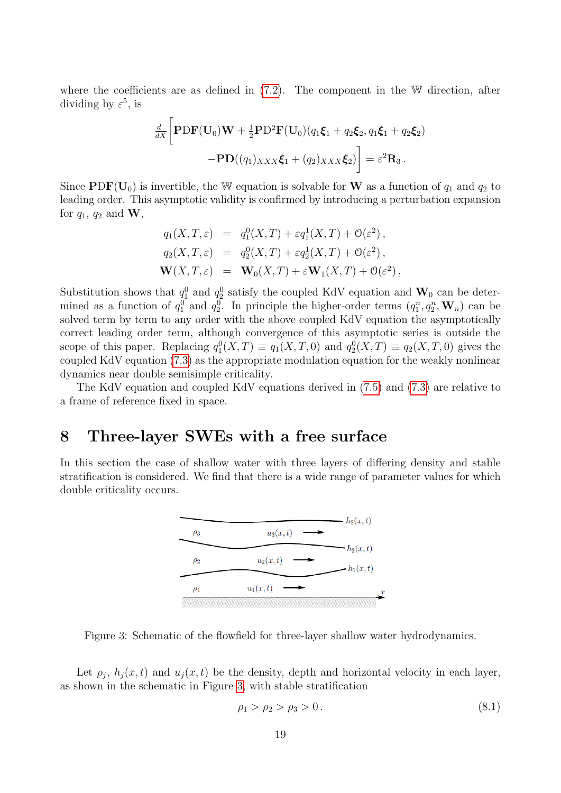where the coefficients are as defined in  $(7.2)$ . The component in the W direction, after dividing by  $\varepsilon^5$ , is

$$
\frac{d}{dX}\left[\mathbf{PDF}(\mathbf{U}_0)\mathbf{W} + \frac{1}{2}\mathbf{PD}^2\mathbf{F}(\mathbf{U}_0)(q_1\boldsymbol{\xi}_1 + q_2\boldsymbol{\xi}_2, q_1\boldsymbol{\xi}_1 + q_2\boldsymbol{\xi}_2) - \mathbf{PD}((q_1)_{XXX}\boldsymbol{\xi}_1 + (q_2)_{XXX}\boldsymbol{\xi}_2)\right] = \varepsilon^2 \mathbf{R}_3.
$$

Since  $PDF(U_0)$  is invertible, the W equation is solvable for W as a function of  $q_1$  and  $q_2$  to leading order. This asymptotic validity is confirmed by introducing a perturbation expansion for  $q_1$ ,  $q_2$  and **W**,

$$
q_1(X, T, \varepsilon) = q_1^0(X, T) + \varepsilon q_1^1(X, T) + \mathcal{O}(\varepsilon^2),
$$
  
\n
$$
q_2(X, T, \varepsilon) = q_2^0(X, T) + \varepsilon q_2^1(X, T) + \mathcal{O}(\varepsilon^2),
$$
  
\n
$$
\mathbf{W}(X, T, \varepsilon) = \mathbf{W}_0(X, T) + \varepsilon \mathbf{W}_1(X, T) + \mathcal{O}(\varepsilon^2),
$$

Substitution shows that  $q_1^0$  and  $q_2^0$  satisfy the coupled KdV equation and  $\mathbf{W}_0$  can be determined as a function of  $q_1^0$  and  $q_2^0$ . In principle the higher-order terms  $(q_1^n, q_2^n, \mathbf{W}_n)$  can be solved term by term to any order with the above coupled KdV equation the asymptotically correct leading order term, although convergence of this asymptotic series is outside the scope of this paper. Replacing  $q_1^0(X,T) \equiv q_1(X,T,0)$  and  $q_2^0(X,T) \equiv q_2(X,T,0)$  gives the coupled KdV equation [\(7.3\)](#page-17-2) as the appropriate modulation equation for the weakly nonlinear dynamics near double semisimple criticality.

The KdV equation and coupled KdV equations derived in [\(7.5\)](#page-17-0) and [\(7.3\)](#page-17-2) are relative to a frame of reference fixed in space.

### <span id="page-18-0"></span>8 Three-layer SWEs with a free surface

In this section the case of shallow water with three layers of differing density and stable stratification is considered. We find that there is a wide range of parameter values for which double criticality occurs.



<span id="page-18-1"></span>Figure 3: Schematic of the flowfield for three-layer shallow water hydrodynamics.

Let  $\rho_j$ ,  $h_j(x,t)$  and  $u_j(x,t)$  be the density, depth and horizontal velocity in each layer, as shown in the schematic in Figure [3,](#page-18-1) with stable stratification

$$
\rho_1 > \rho_2 > \rho_3 > 0. \tag{8.1}
$$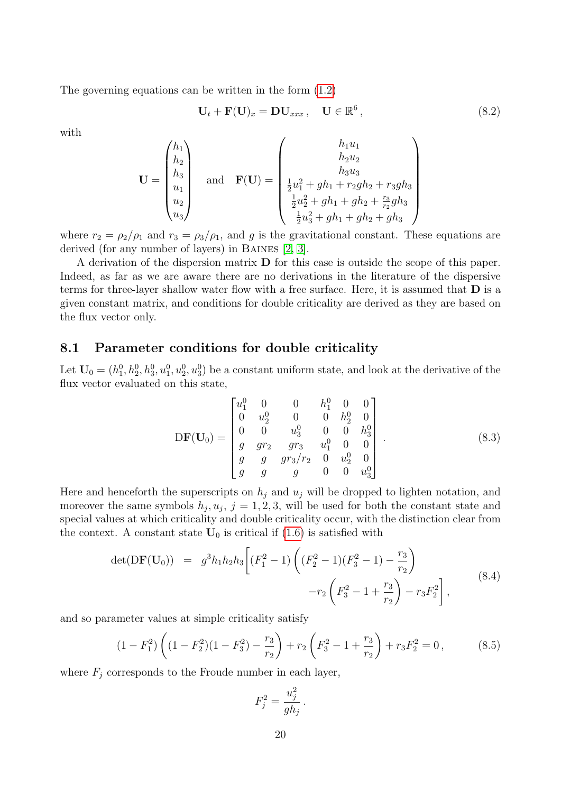The governing equations can be written in the form [\(1.2\)](#page-1-0)

$$
\mathbf{U}_t + \mathbf{F}(\mathbf{U})_x = \mathbf{D}\mathbf{U}_{xxx}, \quad \mathbf{U} \in \mathbb{R}^6, \tag{8.2}
$$

with

$$
\mathbf{U} = \begin{pmatrix} h_1 \\ h_2 \\ h_3 \\ u_1 \\ u_2 \\ u_3 \end{pmatrix} \quad \text{and} \quad \mathbf{F}(\mathbf{U}) = \begin{pmatrix} h_1 u_1 \\ h_2 u_2 \\ h_3 u_3 \\ \frac{1}{2} u_1^2 + gh_1 + r_2 gh_2 + r_3 gh_3 \\ \frac{1}{2} u_2^2 + gh_1 + gh_2 + \frac{r_3}{r_2} gh_3 \\ \frac{1}{2} u_3^2 + gh_1 + gh_2 + gh_3 \end{pmatrix}
$$

where  $r_2 = \rho_2/\rho_1$  and  $r_3 = \rho_3/\rho_1$ , and g is the gravitational constant. These equations are derived (for any number of layers) in Baines [\[2,](#page-27-2) [3\]](#page-27-3).

A derivation of the dispersion matrix D for this case is outside the scope of this paper. Indeed, as far as we are aware there are no derivations in the literature of the dispersive terms for three-layer shallow water flow with a free surface. Here, it is assumed that  **is a** given constant matrix, and conditions for double criticality are derived as they are based on the flux vector only.

### 8.1 Parameter conditions for double criticality

Let  $\mathbf{U}_0 = (h_1^0, h_2^0, h_3^0, u_1^0, u_2^0, u_3^0)$  be a constant uniform state, and look at the derivative of the flux vector evaluated on this state,

<span id="page-19-1"></span>
$$
\mathbf{DF}(\mathbf{U}_0) = \begin{bmatrix} u_1^0 & 0 & 0 & h_1^0 & 0 & 0 \\ 0 & u_2^0 & 0 & 0 & h_2^0 & 0 \\ 0 & 0 & u_3^0 & 0 & 0 & h_3^0 \\ g & g r_2 & g r_3 & u_1^0 & 0 & 0 \\ g & g & g r_3/r_2 & 0 & u_2^0 & 0 \\ g & g & g & 0 & 0 & u_3^0 \end{bmatrix} . \tag{8.3}
$$

Here and henceforth the superscripts on  $h_j$  and  $u_j$  will be dropped to lighten notation, and moreover the same symbols  $h_j, u_j, j = 1, 2, 3$ , will be used for both the constant state and special values at which criticality and double criticality occur, with the distinction clear from the context. A constant state  $U_0$  is critical if  $(1.6)$  is satisfied with

$$
\det(\mathbf{DF}(\mathbf{U}_0)) = g^3 h_1 h_2 h_3 \left[ (F_1^2 - 1) \left( (F_2^2 - 1)(F_3^2 - 1) - \frac{r_3}{r_2} \right) - r_2 \left( F_3^2 - 1 + \frac{r_3}{r_2} \right) - r_3 F_2^2 \right],
$$
\n(8.4)

and so parameter values at simple criticality satisfy

<span id="page-19-0"></span>
$$
(1 - F_1^2) \left( (1 - F_2^2)(1 - F_3^2) - \frac{r_3}{r_2} \right) + r_2 \left( F_3^2 - 1 + \frac{r_3}{r_2} \right) + r_3 F_2^2 = 0, \tag{8.5}
$$

where  $F_i$  corresponds to the Froude number in each layer,

$$
F_j^2 = \frac{u_j^2}{gh_j}.
$$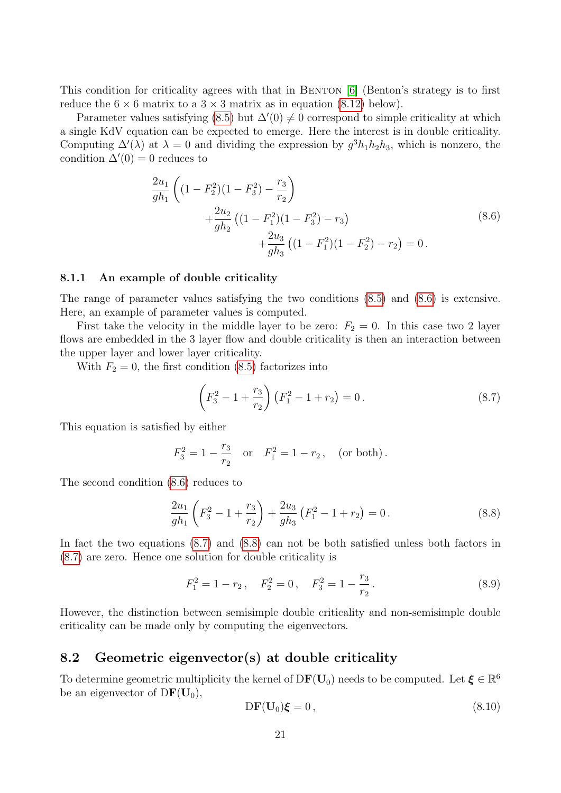This condition for criticality agrees with that in BENTON [\[6\]](#page-28-11) (Benton's strategy is to first reduce the  $6 \times 6$  matrix to a  $3 \times 3$  matrix as in equation [\(8.12\)](#page-21-0) below).

Parameter values satisfying [\(8.5\)](#page-19-0) but  $\Delta'(0) \neq 0$  correspond to simple criticality at which a single KdV equation can be expected to emerge. Here the interest is in double criticality. Computing  $\Delta'(\lambda)$  at  $\lambda = 0$  and dividing the expression by  $g^3 h_1 h_2 h_3$ , which is nonzero, the condition  $\Delta'(0) = 0$  reduces to

<span id="page-20-0"></span>
$$
\frac{2u_1}{gh_1} \left( (1 - F_2^2)(1 - F_3^2) - \frac{r_3}{r_2} \right)
$$
  
 
$$
+ \frac{2u_2}{gh_2} \left( (1 - F_1^2)(1 - F_3^2) - r_3 \right)
$$
  
 
$$
+ \frac{2u_3}{gh_3} \left( (1 - F_1^2)(1 - F_2^2) - r_2 \right) = 0.
$$
 (8.6)

#### 8.1.1 An example of double criticality

The range of parameter values satisfying the two conditions [\(8.5\)](#page-19-0) and [\(8.6\)](#page-20-0) is extensive. Here, an example of parameter values is computed.

First take the velocity in the middle layer to be zero:  $F_2 = 0$ . In this case two 2 layer flows are embedded in the 3 layer flow and double criticality is then an interaction between the upper layer and lower layer criticality.

With  $F_2 = 0$ , the first condition [\(8.5\)](#page-19-0) factorizes into

<span id="page-20-1"></span>
$$
\left(F_3^2 - 1 + \frac{r_3}{r_2}\right)\left(F_1^2 - 1 + r_2\right) = 0.
$$
\n(8.7)

This equation is satisfied by either

$$
F_3^2 = 1 - \frac{r_3}{r_2}
$$
 or  $F_1^2 = 1 - r_2$ , (or both).

The second condition [\(8.6\)](#page-20-0) reduces to

<span id="page-20-2"></span>
$$
\frac{2u_1}{gh_1} \left( F_3^2 - 1 + \frac{r_3}{r_2} \right) + \frac{2u_3}{gh_3} \left( F_1^2 - 1 + r_2 \right) = 0. \tag{8.8}
$$

In fact the two equations [\(8.7\)](#page-20-1) and [\(8.8\)](#page-20-2) can not be both satisfied unless both factors in [\(8.7\)](#page-20-1) are zero. Hence one solution for double criticality is

<span id="page-20-4"></span>
$$
F_1^2 = 1 - r_2, \quad F_2^2 = 0, \quad F_3^2 = 1 - \frac{r_3}{r_2}.
$$
\n(8.9)

However, the distinction between semisimple double criticality and non-semisimple double criticality can be made only by computing the eigenvectors.

### 8.2 Geometric eigenvector(s) at double criticality

To determine geometric multiplicity the kernel of  $DF(U_0)$  needs to be computed. Let  $\xi \in \mathbb{R}^6$ be an eigenvector of  $DF(U_0)$ ,

<span id="page-20-3"></span>
$$
DF(\mathbf{U}_0)\boldsymbol{\xi} = 0, \qquad (8.10)
$$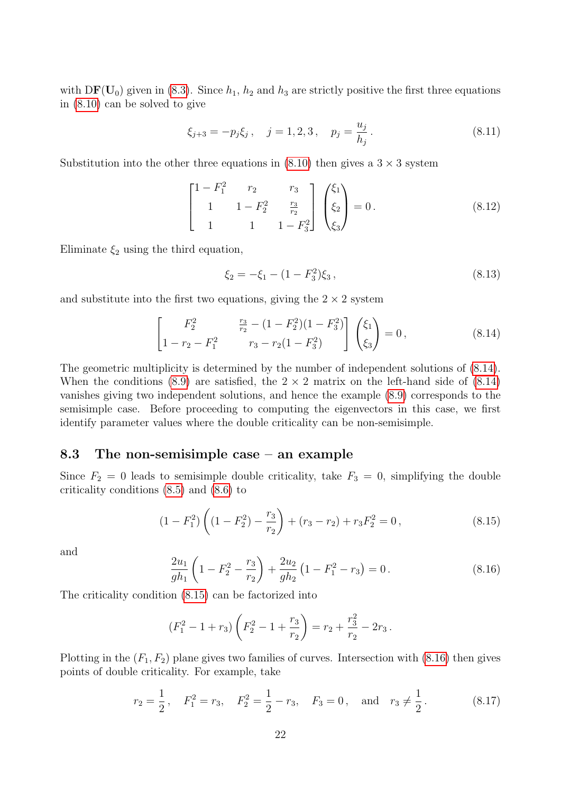with  $DF(U_0)$  given in [\(8.3\)](#page-19-1). Since  $h_1$ ,  $h_2$  and  $h_3$  are strictly positive the first three equations in [\(8.10\)](#page-20-3) can be solved to give

$$
\xi_{j+3} = -p_j \xi_j, \quad j = 1, 2, 3, \quad p_j = \frac{u_j}{h_j}.
$$
\n(8.11)

Substitution into the other three equations in  $(8.10)$  then gives a  $3 \times 3$  system

<span id="page-21-0"></span>
$$
\begin{bmatrix}\n1 - F_1^2 & r_2 & r_3 \\
1 & 1 - F_2^2 & \frac{r_3}{r_2} \\
1 & 1 & 1 - F_3^2\n\end{bmatrix}\n\begin{pmatrix}\n\xi_1 \\
\xi_2 \\
\xi_3\n\end{pmatrix} = 0.
$$
\n(8.12)

Eliminate  $\xi_2$  using the third equation,

$$
\xi_2 = -\xi_1 - (1 - F_3^2)\xi_3, \qquad (8.13)
$$

and substitute into the first two equations, giving the  $2 \times 2$  system

<span id="page-21-1"></span>
$$
\begin{bmatrix}\nF_2^2 & \frac{r_3}{r_2} - (1 - F_2^2)(1 - F_3^2) \\
1 - r_2 - F_1^2 & r_3 - r_2(1 - F_3^2)\n\end{bmatrix}\n\begin{bmatrix}\n\xi_1 \\
\xi_3\n\end{bmatrix} = 0,
$$
\n(8.14)

The geometric multiplicity is determined by the number of independent solutions of [\(8.14\)](#page-21-1). When the conditions [\(8.9\)](#page-20-4) are satisfied, the  $2 \times 2$  matrix on the left-hand side of [\(8.14\)](#page-21-1) vanishes giving two independent solutions, and hence the example [\(8.9\)](#page-20-4) corresponds to the semisimple case. Before proceeding to computing the eigenvectors in this case, we first identify parameter values where the double criticality can be non-semisimple.

### 8.3 The non-semisimple case – an example

Since  $F_2 = 0$  leads to semisimple double criticality, take  $F_3 = 0$ , simplifying the double criticality conditions [\(8.5\)](#page-19-0) and [\(8.6\)](#page-20-0) to

<span id="page-21-2"></span>
$$
(1 - F_1^2) \left( (1 - F_2^2) - \frac{r_3}{r_2} \right) + (r_3 - r_2) + r_3 F_2^2 = 0, \qquad (8.15)
$$

and

<span id="page-21-3"></span>
$$
\frac{2u_1}{gh_1} \left( 1 - F_2^2 - \frac{r_3}{r_2} \right) + \frac{2u_2}{gh_2} \left( 1 - F_1^2 - r_3 \right) = 0. \tag{8.16}
$$

The criticality condition [\(8.15\)](#page-21-2) can be factorized into

$$
(F_1^2 - 1 + r_3) \left( F_2^2 - 1 + \frac{r_3}{r_2} \right) = r_2 + \frac{r_3^2}{r_2} - 2r_3 \, .
$$

Plotting in the  $(F_1, F_2)$  plane gives two families of curves. Intersection with [\(8.16\)](#page-21-3) then gives points of double criticality. For example, take

<span id="page-21-4"></span>
$$
r_2 = \frac{1}{2}
$$
,  $F_1^2 = r_3$ ,  $F_2^2 = \frac{1}{2} - r_3$ ,  $F_3 = 0$ , and  $r_3 \neq \frac{1}{2}$ . (8.17)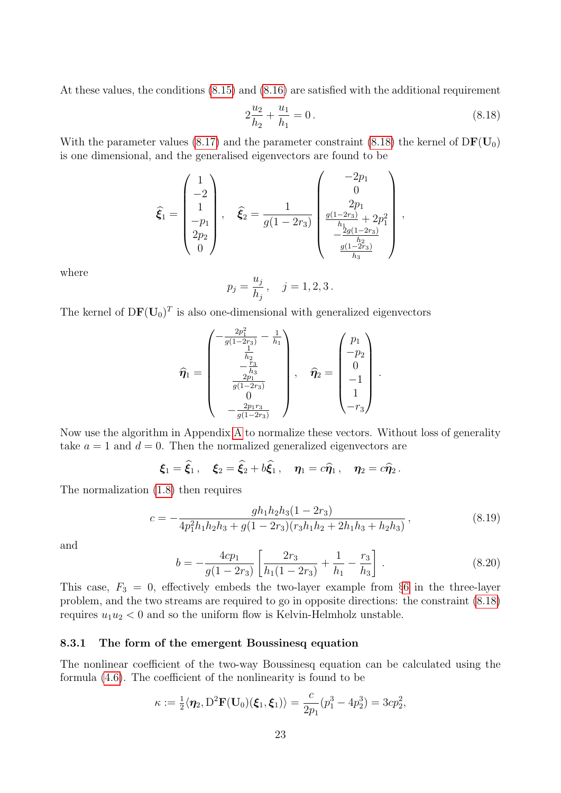At these values, the conditions [\(8.15\)](#page-21-2) and [\(8.16\)](#page-21-3) are satisfied with the additional requirement

<span id="page-22-0"></span>
$$
2\frac{u_2}{h_2} + \frac{u_1}{h_1} = 0.
$$
\n(8.18)

With the parameter values [\(8.17\)](#page-21-4) and the parameter constraint [\(8.18\)](#page-22-0) the kernel of  $DF(U_0)$ is one dimensional, and the generalised eigenvectors are found to be

$$
\hat{\xi}_1 = \begin{pmatrix} 1 \\ -2 \\ 1 \\ -p_1 \\ 2p_2 \\ 0 \end{pmatrix}, \quad \hat{\xi}_2 = \frac{1}{g(1-2r_3)} \begin{pmatrix} -2p_1 \\ 0 \\ 2p_1 \\ \frac{g(1-2r_3)}{h_1} + 2p_1^2 \\ -\frac{2g(1-2r_3)}{h_2} \\ \frac{g(1-2r_3)}{h_3} \end{pmatrix},
$$

where

$$
p_j = \frac{u_j}{h_j}, \quad j = 1, 2, 3.
$$

The kernel of  $DF(\mathbf{U}_0)^T$  is also one-dimensional with generalized eigenvectors

$$
\widehat{\eta}_1 = \begin{pmatrix}\n-\frac{2p_1^2}{g(1-2r_3)} - \frac{1}{h_1} \\
\frac{1}{h_2} \\
-\frac{r_3}{h_3} \\
\frac{2p_1}{g(1-2r_3)} \\
0 \\
-\frac{2p_1r_3}{g(1-2r_3)}\n\end{pmatrix}, \quad \widehat{\eta}_2 = \begin{pmatrix}\np_1 \\
-p_2 \\
0 \\
-1 \\
1 \\
-r_3\n\end{pmatrix}.
$$

Now use the algorithm in Appendix [A](#page-25-0) to normalize these vectors. Without loss of generality take  $a = 1$  and  $d = 0$ . Then the normalized generalized eigenvectors are

$$
\boldsymbol{\xi}_1 = \widehat{\boldsymbol{\xi}}_1, \quad \boldsymbol{\xi}_2 = \widehat{\boldsymbol{\xi}}_2 + b\widehat{\boldsymbol{\xi}}_1, \quad \boldsymbol{\eta}_1 = c\widehat{\boldsymbol{\eta}}_1, \quad \boldsymbol{\eta}_2 = c\widehat{\boldsymbol{\eta}}_2.
$$

The normalization [\(1.8\)](#page-26-0) then requires

$$
c = -\frac{gh_1h_2h_3(1 - 2r_3)}{4p_1^2h_1h_2h_3 + g(1 - 2r_3)(r_3h_1h_2 + 2h_1h_3 + h_2h_3)},
$$
\n(8.19)

and

$$
b = -\frac{4cp_1}{g(1-2r_3)} \left[ \frac{2r_3}{h_1(1-2r_3)} + \frac{1}{h_1} - \frac{r_3}{h_3} \right].
$$
 (8.20)

This case,  $F_3 = 0$ , effectively embeds the two-layer example from §[6](#page-11-0) in the three-layer problem, and the two streams are required to go in opposite directions: the constraint [\(8.18\)](#page-22-0) requires  $u_1u_2 < 0$  and so the uniform flow is Kelvin-Helmholz unstable.

#### 8.3.1 The form of the emergent Boussinesq equation

The nonlinear coefficient of the two-way Boussinesq equation can be calculated using the formula [\(4.6\)](#page-6-5). The coefficient of the nonlinearity is found to be

$$
\kappa := \frac{1}{2} \langle \eta_2, D^2 \mathbf{F}(\mathbf{U}_0)(\boldsymbol{\xi}_1, \boldsymbol{\xi}_1) \rangle = \frac{c}{2p_1} (p_1^3 - 4p_2^3) = 3cp_2^2,
$$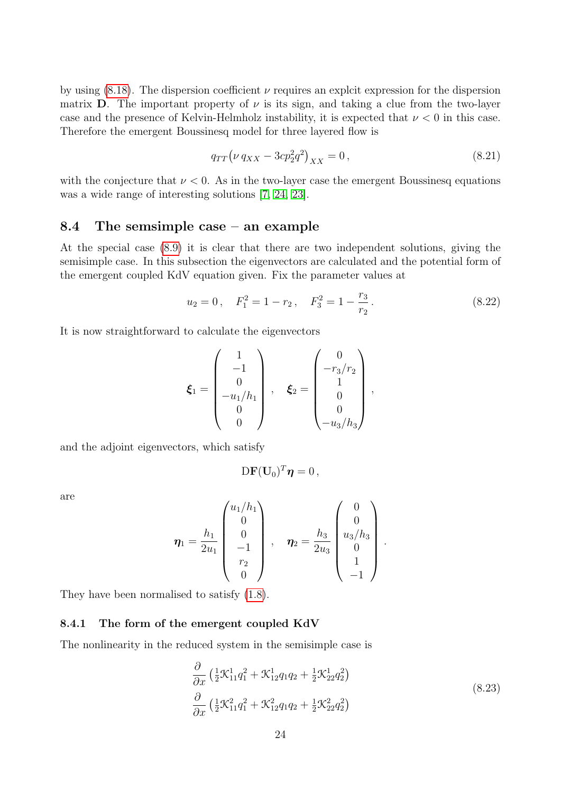by using  $(8.18)$ . The dispersion coefficient  $\nu$  requires an explcit expression for the dispersion matrix **D**. The important property of  $\nu$  is its sign, and taking a clue from the two-layer case and the presence of Kelvin-Helmholz instability, it is expected that  $\nu < 0$  in this case. Therefore the emergent Boussinesq model for three layered flow is

$$
q_{TT} \left(\nu \, q_{XX} - 3c p_2^2 q^2\right)_{XX} = 0\,,\tag{8.21}
$$

with the conjecture that  $\nu < 0$ . As in the two-layer case the emergent Boussinesq equations was a wide range of interesting solutions [\[7,](#page-28-13) [24,](#page-29-7) [23\]](#page-29-1).

### 8.4 The semsimple case – an example

At the special case [\(8.9\)](#page-20-4) it is clear that there are two independent solutions, giving the semisimple case. In this subsection the eigenvectors are calculated and the potential form of the emergent coupled KdV equation given. Fix the parameter values at

<span id="page-23-0"></span>
$$
u_2 = 0
$$
,  $F_1^2 = 1 - r_2$ ,  $F_3^2 = 1 - \frac{r_3}{r_2}$ . (8.22)

It is now straightforward to calculate the eigenvectors

$$
\boldsymbol{\xi}_1 = \begin{pmatrix} 1 \\ -1 \\ 0 \\ -u_1/h_1 \\ 0 \\ 0 \end{pmatrix}, \quad \boldsymbol{\xi}_2 = \begin{pmatrix} 0 \\ -r_3/r_2 \\ 1 \\ 0 \\ 0 \\ -u_3/h_3 \end{pmatrix},
$$

and the adjoint eigenvectors, which satisfy

$$
\mathrm{D}\mathbf{F}(\mathbf{U}_0)^T\boldsymbol{\eta}=0\,,
$$

are

$$
\eta_1 = \frac{h_1}{2u_1} \begin{pmatrix} u_1/h_1 \\ 0 \\ 0 \\ -1 \\ r_2 \\ 0 \end{pmatrix}, \quad \eta_2 = \frac{h_3}{2u_3} \begin{pmatrix} 0 \\ 0 \\ u_3/h_3 \\ 0 \\ 1 \\ -1 \end{pmatrix}.
$$

They have been normalised to satisfy [\(1.8\)](#page-26-0).

### 8.4.1 The form of the emergent coupled KdV

The nonlinearity in the reduced system in the semisimple case is

$$
\frac{\partial}{\partial x} \left( \frac{1}{2} \mathcal{K}_{11}^1 q_1^2 + \mathcal{K}_{12}^1 q_1 q_2 + \frac{1}{2} \mathcal{K}_{22}^1 q_2^2 \right) \n\frac{\partial}{\partial x} \left( \frac{1}{2} \mathcal{K}_{11}^2 q_1^2 + \mathcal{K}_{12}^2 q_1 q_2 + \frac{1}{2} \mathcal{K}_{22}^2 q_2^2 \right)
$$
\n(8.23)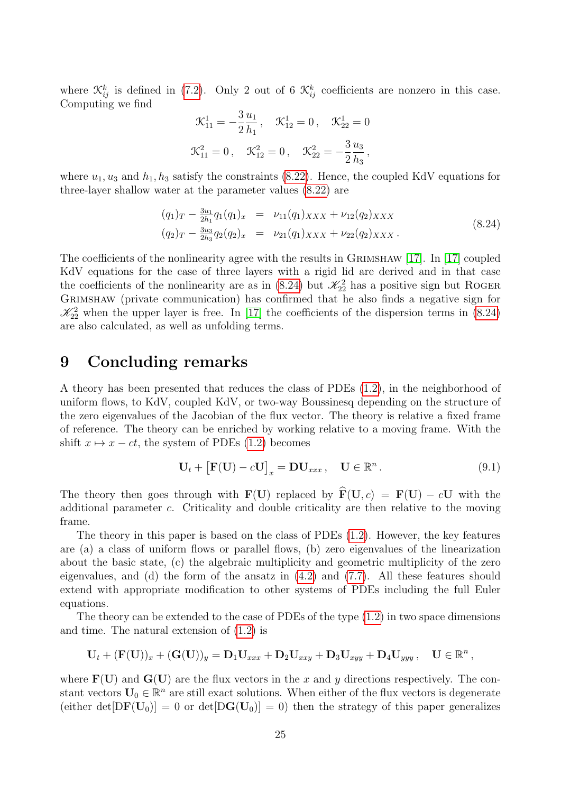where  $\mathcal{K}_{ij}^k$  is defined in [\(7.2\)](#page-16-2). Only 2 out of 6  $\mathcal{K}_{ij}^k$  coefficients are nonzero in this case. Computing we find

$$
\mathcal{K}_{11}^1 = -\frac{3}{2} \frac{u_1}{h_1}, \quad \mathcal{K}_{12}^1 = 0, \quad \mathcal{K}_{22}^1 = 0
$$
  
 $\mathcal{K}_{11}^2 = 0, \quad \mathcal{K}_{12}^2 = 0, \quad \mathcal{K}_{22}^2 = -\frac{3}{2} \frac{u_3}{h_3},$ 

where  $u_1, u_3$  and  $h_1, h_3$  satisfy the constraints [\(8.22\)](#page-23-0). Hence, the coupled KdV equations for three-layer shallow water at the parameter values [\(8.22\)](#page-23-0) are

<span id="page-24-0"></span>
$$
(q_1)_T - \frac{3u_1}{2h_1}q_1(q_1)_x = \nu_{11}(q_1)_{XXX} + \nu_{12}(q_2)_{XXX}
$$
  

$$
(q_2)_T - \frac{3u_3}{2h_3}q_2(q_2)_x = \nu_{21}(q_1)_{XXX} + \nu_{22}(q_2)_{XXX}.
$$
 (8.24)

The coefficients of the nonlinearity agree with the results in GRIMSHAW [\[17\]](#page-28-0). In [17] coupled KdV equations for the case of three layers with a rigid lid are derived and in that case the coefficients of the nonlinearity are as in [\(8.24\)](#page-24-0) but  $\mathcal{K}_{22}^2$  has a positive sign but ROGER Grimshaw (private communication) has confirmed that he also finds a negative sign for  $\mathcal{K}_{22}^2$  when the upper layer is free. In [\[17\]](#page-28-0) the coefficients of the dispersion terms in [\(8.24\)](#page-24-0) are also calculated, as well as unfolding terms.

## 9 Concluding remarks

A theory has been presented that reduces the class of PDEs [\(1.2\)](#page-1-0), in the neighborhood of uniform flows, to KdV, coupled KdV, or two-way Boussinesq depending on the structure of the zero eigenvalues of the Jacobian of the flux vector. The theory is relative a fixed frame of reference. The theory can be enriched by working relative to a moving frame. With the shift  $x \mapsto x - ct$ , the system of PDEs [\(1.2\)](#page-1-0) becomes

$$
\mathbf{U}_t + \left[\mathbf{F}(\mathbf{U}) - c\mathbf{U}\right]_x = \mathbf{D}\mathbf{U}_{xxx}, \quad \mathbf{U} \in \mathbb{R}^n. \tag{9.1}
$$

The theory then goes through with  $\mathbf{F}(\mathbf{U})$  replaced by  $\mathbf{\hat{F}}(\mathbf{U}, c) = \mathbf{F}(\mathbf{U}) - c\mathbf{U}$  with the additional parameter c. Criticality and double criticality are then relative to the moving frame.

The theory in this paper is based on the class of PDEs [\(1.2\)](#page-1-0). However, the key features are (a) a class of uniform flows or parallel flows, (b) zero eigenvalues of the linearization about the basic state, (c) the algebraic multiplicity and geometric multiplicity of the zero eigenvalues, and (d) the form of the ansatz in [\(4.2\)](#page-6-3) and [\(7.7\)](#page-17-3). All these features should extend with appropriate modification to other systems of PDEs including the full Euler equations.

The theory can be extended to the case of PDEs of the type  $(1.2)$  in two space dimensions and time. The natural extension of [\(1.2\)](#page-1-0) is

$$
\mathbf{U}_t+(\mathbf{F}(\mathbf{U}))_x+(\mathbf{G}(\mathbf{U}))_y=\mathbf{D}_1\mathbf{U}_{xxx}+\mathbf{D}_2\mathbf{U}_{xxy}+\mathbf{D}_3\mathbf{U}_{xyy}+\mathbf{D}_4\mathbf{U}_{yyy}\,,\quad \mathbf{U}\in\mathbb{R}^n\,,
$$

where  $\mathbf{F}(\mathbf{U})$  and  $\mathbf{G}(\mathbf{U})$  are the flux vectors in the x and y directions respectively. The constant vectors  $\mathbf{U}_0 \in \mathbb{R}^n$  are still exact solutions. When either of the flux vectors is degenerate (either det $[DF(U_0)] = 0$  or det $[DG(U_0)] = 0$ ) then the strategy of this paper generalizes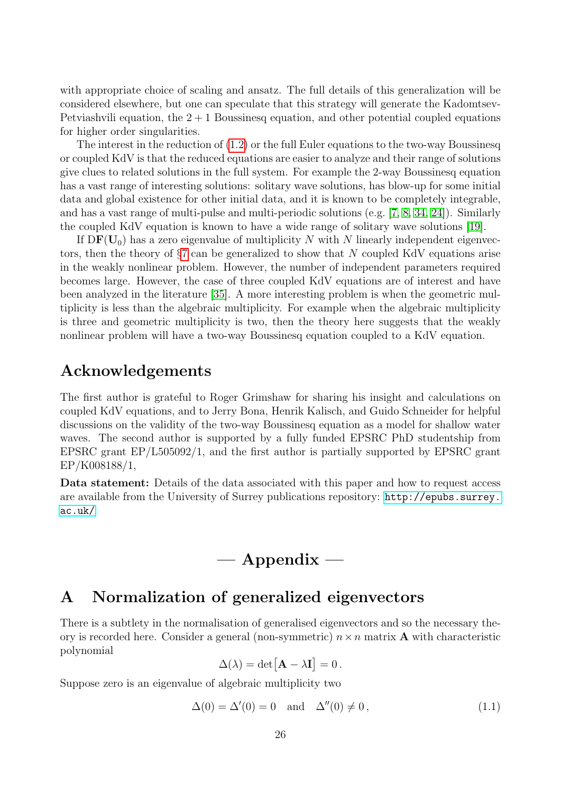with appropriate choice of scaling and ansatz. The full details of this generalization will be considered elsewhere, but one can speculate that this strategy will generate the Kadomtsev-Petviashvili equation, the  $2 + 1$  Boussinesq equation, and other potential coupled equations for higher order singularities.

The interest in the reduction of [\(1.2\)](#page-1-0) or the full Euler equations to the two-way Boussinesq or coupled KdV is that the reduced equations are easier to analyze and their range of solutions give clues to related solutions in the full system. For example the 2-way Boussinesq equation has a vast range of interesting solutions: solitary wave solutions, has blow-up for some initial data and global existence for other initial data, and it is known to be completely integrable, and has a vast range of multi-pulse and multi-periodic solutions (e.g. [\[7,](#page-28-13) [8,](#page-28-14) [34,](#page-29-13) [24\]](#page-29-7)). Similarly the coupled KdV equation is known to have a wide range of solitary wave solutions [\[19\]](#page-28-2).

If  $DF(\mathbf{U}_0)$  has a zero eigenvalue of multiplicity N with N linearly independent eigenvectors, then the theory of  $\S7$  $\S7$  can be generalized to show that N coupled KdV equations arise in the weakly nonlinear problem. However, the number of independent parameters required becomes large. However, the case of three coupled KdV equations are of interest and have been analyzed in the literature [\[35\]](#page-29-14). A more interesting problem is when the geometric multiplicity is less than the algebraic multiplicity. For example when the algebraic multiplicity is three and geometric multiplicity is two, then the theory here suggests that the weakly nonlinear problem will have a two-way Boussinesq equation coupled to a KdV equation.

## Acknowledgements

The first author is grateful to Roger Grimshaw for sharing his insight and calculations on coupled KdV equations, and to Jerry Bona, Henrik Kalisch, and Guido Schneider for helpful discussions on the validity of the two-way Boussinesq equation as a model for shallow water waves. The second author is supported by a fully funded EPSRC PhD studentship from EPSRC grant EP/L505092/1, and the first author is partially supported by EPSRC grant EP/K008188/1,

Data statement: Details of the data associated with this paper and how to request access are available from the University of Surrey publications repository: [http://epubs.surrey.](http://epubs.surrey.ac.uk/) [ac.uk/](http://epubs.surrey.ac.uk/)

# $\mathcal{A}$ ppendix —

## <span id="page-25-0"></span>A Normalization of generalized eigenvectors

There is a subtlety in the normalisation of generalised eigenvectors and so the necessary theory is recorded here. Consider a general (non-symmetric)  $n \times n$  matrix **A** with characteristic polynomial

$$
\Delta(\lambda) = \det[\mathbf{A} - \lambda \mathbf{I}] = 0.
$$

Suppose zero is an eigenvalue of algebraic multiplicity two

$$
\Delta(0) = \Delta'(0) = 0 \quad \text{and} \quad \Delta''(0) \neq 0, \tag{1.1}
$$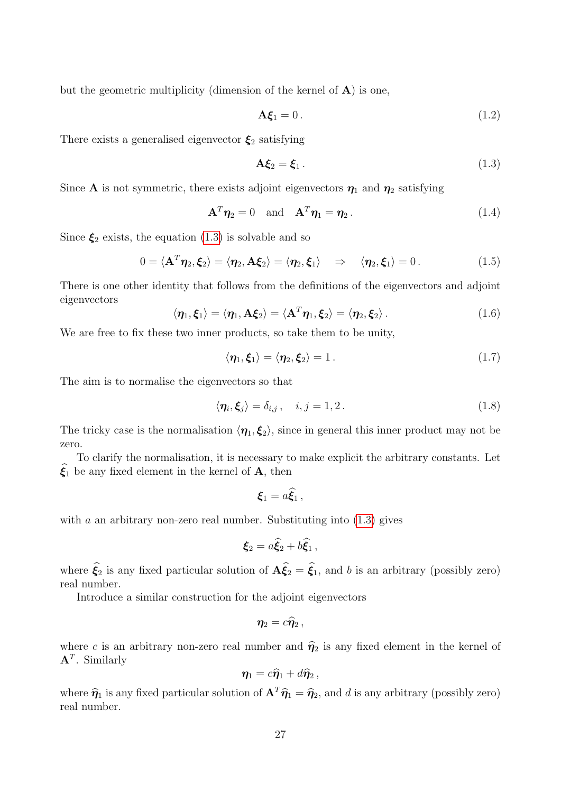but the geometric multiplicity (dimension of the kernel of  $A$ ) is one,

$$
\mathbf{A}\boldsymbol{\xi}_1 = 0. \tag{1.2}
$$

There exists a generalised eigenvector  $\xi_2$  satisfying

<span id="page-26-1"></span>
$$
\mathbf{A}\boldsymbol{\xi}_2 = \boldsymbol{\xi}_1. \tag{1.3}
$$

Since **A** is not symmetric, there exists adjoint eigenvectors  $\eta_1$  and  $\eta_2$  satisfying

$$
\mathbf{A}^T \boldsymbol{\eta}_2 = 0 \quad \text{and} \quad \mathbf{A}^T \boldsymbol{\eta}_1 = \boldsymbol{\eta}_2. \tag{1.4}
$$

Since  $\xi_2$  exists, the equation [\(1.3\)](#page-26-1) is solvable and so

$$
0 = \langle \mathbf{A}^T \boldsymbol{\eta}_2, \boldsymbol{\xi}_2 \rangle = \langle \boldsymbol{\eta}_2, \mathbf{A} \boldsymbol{\xi}_2 \rangle = \langle \boldsymbol{\eta}_2, \boldsymbol{\xi}_1 \rangle \Rightarrow \langle \boldsymbol{\eta}_2, \boldsymbol{\xi}_1 \rangle = 0. \tag{1.5}
$$

There is one other identity that follows from the definitions of the eigenvectors and adjoint eigenvectors

<span id="page-26-3"></span>
$$
\langle \eta_1, \xi_1 \rangle = \langle \eta_1, A \xi_2 \rangle = \langle A^T \eta_1, \xi_2 \rangle = \langle \eta_2, \xi_2 \rangle.
$$
 (1.6)

We are free to fix these two inner products, so take them to be unity,

<span id="page-26-2"></span>
$$
\langle \eta_1, \xi_1 \rangle = \langle \eta_2, \xi_2 \rangle = 1. \tag{1.7}
$$

The aim is to normalise the eigenvectors so that

<span id="page-26-0"></span>
$$
\langle \eta_i, \xi_j \rangle = \delta_{i,j}, \quad i, j = 1, 2. \tag{1.8}
$$

The tricky case is the normalisation  $\langle \eta_1, \xi_2 \rangle$ , since in general this inner product may not be zero.

To clarify the normalisation, it is necessary to make explicit the arbitrary constants. Let  $\widehat{\xi}_1$  be any fixed element in the kernel of **A**, then

$$
\boldsymbol{\xi}_1=a\dot{\boldsymbol{\xi}_1}\,,
$$

with a an arbitrary non-zero real number. Substituting into  $(1.3)$  gives

$$
\boldsymbol{\xi}_2 = a\widehat{\boldsymbol{\xi}}_2 + b\widehat{\boldsymbol{\xi}}_1\,,
$$

where  $\hat{\xi}_2$  is any fixed particular solution of  $\mathbf{A}\hat{\xi}_2 = \hat{\xi}_1$ , and b is an arbitrary (possibly zero) real number.

Introduce a similar construction for the adjoint eigenvectors

$$
\eta_2=c\widehat{\eta}_2\,,
$$

where c is an arbitrary non-zero real number and  $\hat{\eta}_2$  is any fixed element in the kernel of  ${\bf A}^T$ . Similarly

$$
\boldsymbol{\eta}_1 = c\widehat{\boldsymbol{\eta}}_1 + d\widehat{\boldsymbol{\eta}}_2\,,
$$

where  $\hat{\eta}_1$  is any fixed particular solution of  $\mathbf{A}^T \hat{\eta}_1 = \hat{\eta}_2$ , and d is any arbitrary (possibly zero) real number.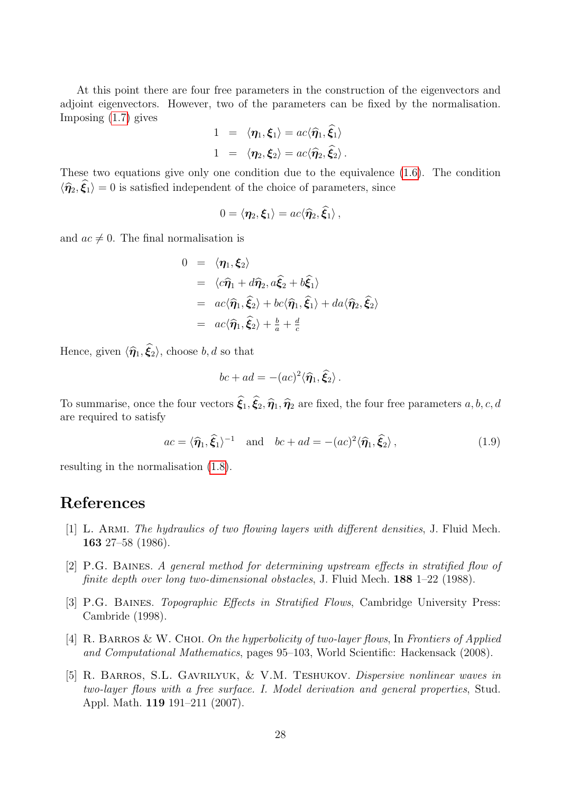At this point there are four free parameters in the construction of the eigenvectors and adjoint eigenvectors. However, two of the parameters can be fixed by the normalisation. Imposing [\(1.7\)](#page-26-2) gives

$$
1 = \langle \eta_1, \xi_1 \rangle = ac \langle \hat{\eta}_1, \hat{\xi}_1 \rangle
$$
  

$$
1 = \langle \eta_2, \xi_2 \rangle = ac \langle \hat{\eta}_2, \hat{\xi}_2 \rangle.
$$

These two equations give only one condition due to the equivalence [\(1.6\)](#page-26-3). The condition  $\langle \hat{\eta}_2, \hat{\xi}_1 \rangle = 0$  is satisfied independent of the choice of parameters, since

$$
0 = \langle \eta_2, \xi_1 \rangle = ac \langle \widehat{\eta}_2, \widehat{\xi}_1 \rangle ,
$$

and  $ac \neq 0$ . The final normalisation is

$$
0 = \langle \eta_1, \xi_2 \rangle
$$
  
\n
$$
= \langle c\hat{\eta}_1 + d\hat{\eta}_2, a\hat{\xi}_2 + b\hat{\xi}_1 \rangle
$$
  
\n
$$
= ac\langle \hat{\eta}_1, \hat{\xi}_2 \rangle + bc\langle \hat{\eta}_1, \hat{\xi}_1 \rangle + da\langle \hat{\eta}_2, \hat{\xi}_2 \rangle
$$
  
\n
$$
= ac\langle \hat{\eta}_1, \hat{\xi}_2 \rangle + \frac{b}{a} + \frac{d}{c}
$$

Hence, given  $\langle \hat{\eta}_1, \hat{\xi}_2 \rangle$ , choose b, d so that

$$
bc + ad = -(ac)^2 \langle \hat{\eta}_1, \hat{\xi}_2 \rangle.
$$

To summarise, once the four vectors  $\hat{\xi}_1, \hat{\xi}_2, \hat{\eta}_1, \hat{\eta}_2$  are fixed, the four free parameters  $a, b, c, d$ are required to satisfy

<span id="page-27-5"></span>
$$
ac = \langle \hat{\eta}_1, \hat{\xi}_1 \rangle^{-1} \quad \text{and} \quad bc + ad = -(ac)^2 \langle \hat{\eta}_1, \hat{\xi}_2 \rangle, \tag{1.9}
$$

resulting in the normalisation [\(1.8\)](#page-26-0).

## References

- <span id="page-27-0"></span>[1] L. Armi. The hydraulics of two flowing layers with different densities, J. Fluid Mech. 163 27–58 (1986).
- <span id="page-27-2"></span>[2] P.G. Baines. A general method for determining upstream effects in stratified flow of finite depth over long two-dimensional obstacles, J. Fluid Mech. 188 1–22 (1988).
- <span id="page-27-3"></span>[3] P.G. BAINES. *Topographic Effects in Stratified Flows*, Cambridge University Press: Cambride (1998).
- <span id="page-27-1"></span>[4] R. BARROS & W. CHOI. On the hyperbolicity of two-layer flows, In Frontiers of Applied and Computational Mathematics, pages 95–103, World Scientific: Hackensack (2008).
- <span id="page-27-4"></span>[5] R. Barros, S.L. Gavrilyuk, & V.M. Teshukov. Dispersive nonlinear waves in two-layer flows with a free surface. I. Model derivation and general properties, Stud. Appl. Math. 119 191–211 (2007).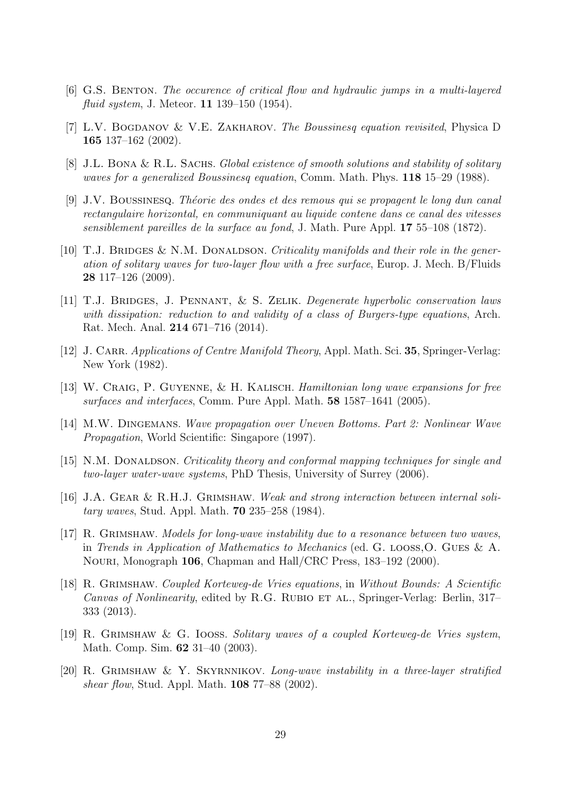- <span id="page-28-11"></span>[6] G.S. Benton. The occurence of critical flow and hydraulic jumps in a multi-layered fluid system, J. Meteor. 11 139–150 (1954).
- <span id="page-28-13"></span>[7] L.V. BOGDANOV & V.E. ZAKHAROV. The Boussinesq equation revisited, Physica D 165 137–162 (2002).
- <span id="page-28-14"></span>[8] J.L. BONA & R.L. SACHS. Global existence of smooth solutions and stability of solitary waves for a generalized Boussinesg equation, Comm. Math. Phys. 118 15–29 (1988).
- <span id="page-28-7"></span>[9] J.V. Boussinesq. Th´eorie des ondes et des remous qui se propagent le long dun canal rectangulaire horizontal, en communiquant au liquide contene dans ce canal des vitesses sensiblement pareilles de la surface au fond, J. Math. Pure Appl. 17 55–108 (1872).
- <span id="page-28-12"></span>[10] T.J. BRIDGES & N.M. DONALDSON. Criticality manifolds and their role in the generation of solitary waves for two-layer flow with a free surface, Europ. J. Mech. B/Fluids 28 117–126 (2009).
- <span id="page-28-5"></span>[11] T.J. Bridges, J. Pennant, & S. Zelik. Degenerate hyperbolic conservation laws with dissipation: reduction to and validity of a class of Burgers-type equations, Arch. Rat. Mech. Anal. 214 671–716 (2014).
- <span id="page-28-6"></span>[12] J. CARR. Applications of Centre Manifold Theory, Appl. Math. Sci. 35, Springer-Verlag: New York (1982).
- <span id="page-28-9"></span>[13] W. Craig, P. Guyenne, & H. Kalisch. Hamiltonian long wave expansions for free surfaces and interfaces, Comm. Pure Appl. Math. 58 1587–1641 (2005).
- <span id="page-28-8"></span>[14] M.W. Dingemans. Wave propagation over Uneven Bottoms. Part 2: Nonlinear Wave Propagation, World Scientific: Singapore (1997).
- <span id="page-28-10"></span>[15] N.M. DONALDSON. Criticality theory and conformal mapping techniques for single and two-layer water-wave systems, PhD Thesis, University of Surrey (2006).
- <span id="page-28-1"></span>[16] J.A. Gear & R.H.J. Grimshaw. Weak and strong interaction between internal solitary waves, Stud. Appl. Math. 70 235–258 (1984).
- <span id="page-28-0"></span>[17] R. GRIMSHAW. Models for long-wave instability due to a resonance between two waves, in Trends in Application of Mathematics to Mechanics (ed. G. looss,O. Gues & A. Nouri, Monograph 106, Chapman and Hall/CRC Press, 183–192 (2000).
- <span id="page-28-4"></span>[18] R. Grimshaw. Coupled Korteweg-de Vries equations, in Without Bounds: A Scientific Canvas of Nonlinearity, edited by R.G. RUBIO ET AL., Springer-Verlag: Berlin, 317– 333 (2013).
- <span id="page-28-2"></span>[19] R. Grimshaw & G. Iooss. Solitary waves of a coupled Korteweg-de Vries system, Math. Comp. Sim. 62 31–40 (2003).
- <span id="page-28-3"></span>[20] R. Grimshaw & Y. Skyrnnikov. Long-wave instability in a three-layer stratified shear flow, Stud. Appl. Math. **108** 77–88 (2002).